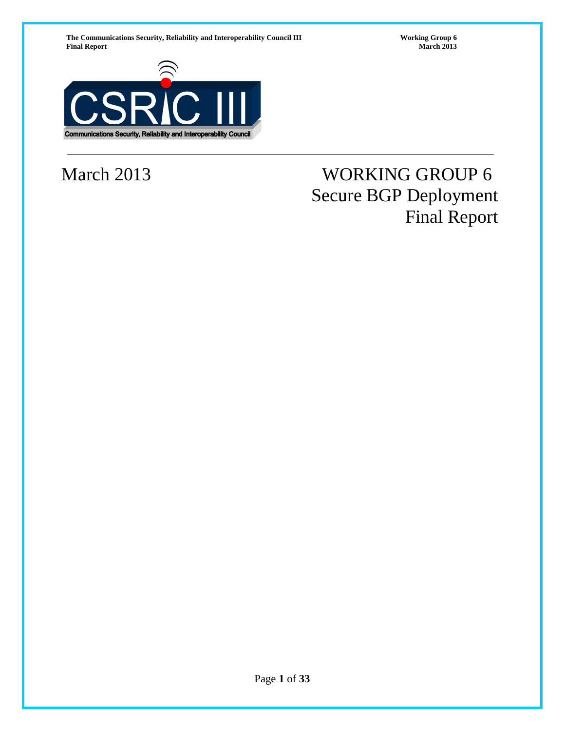The Communications Security, Reliability and Interoperability Council III **Working Group 6**<br>**March 2013** March 2013 **Final Report** 



# March 2013 WORKING GROUP 6 Secure BGP Deployment Final Report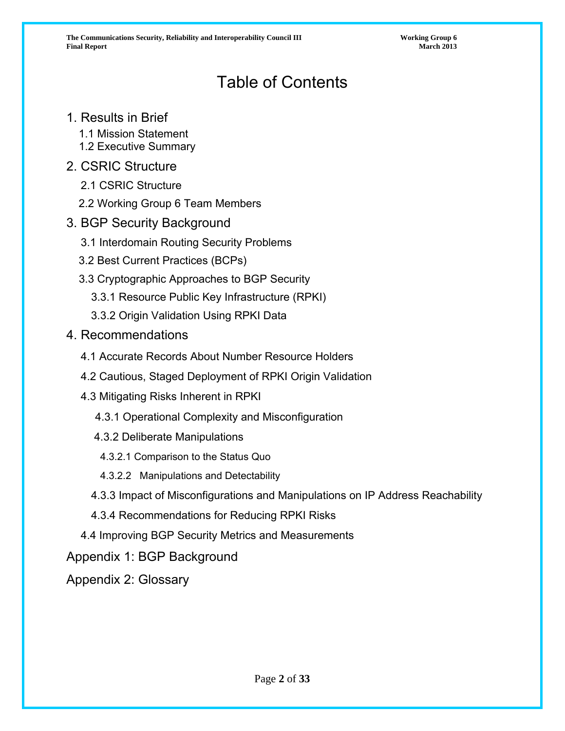# Table of Contents

# 1. Results in Brief

- 1.1 Mission Statement
- 1.2 Executive Summary

# 2. CSRIC Structure

- 2.1 CSRIC Structure
- 2.2 Working Group 6 Team Members
- 3. BGP Security Background
	- 3.1 Interdomain Routing Security Problems
	- 3.2 Best Current Practices (BCPs)
	- 3.3 Cryptographic Approaches to BGP Security
		- 3.3.1 Resource Public Key Infrastructure (RPKI)
		- 3.3.2 Origin Validation Using RPKI Data
- 4. Recommendations
	- 4.1 Accurate Records About Number Resource Holders
	- 4.2 Cautious, Staged Deployment of RPKI Origin Validation
	- 4.3 Mitigating Risks Inherent in RPKI
		- 4.3.1 Operational Complexity and Misconfiguration
		- 4.3.2 Deliberate Manipulations
		- 4.3.2.1 Comparison to the Status Quo
		- 4.3.2.2 Manipulations and Detectability
		- 4.3.3 Impact of Misconfigurations and Manipulations on IP Address Reachability
		- 4.3.4 Recommendations for Reducing RPKI Risks
	- 4.4 Improving BGP Security Metrics and Measurements

Appendix 1: BGP Background

Appendix 2: Glossary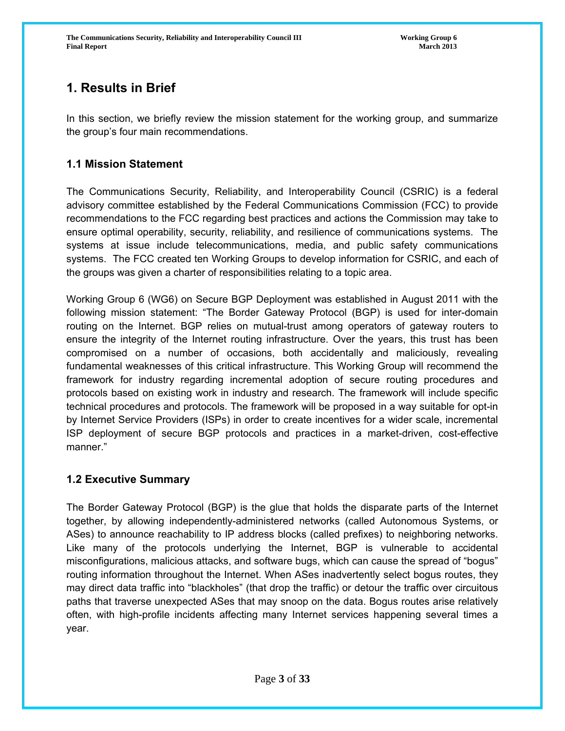# **1. Results in Brief**

In this section, we briefly review the mission statement for the working group, and summarize the group's four main recommendations.

# **1.1 Mission Statement**

The Communications Security, Reliability, and Interoperability Council (CSRIC) is a federal advisory committee established by the Federal Communications Commission (FCC) to provide recommendations to the FCC regarding best practices and actions the Commission may take to ensure optimal operability, security, reliability, and resilience of communications systems. The systems at issue include telecommunications, media, and public safety communications systems. The FCC created ten Working Groups to develop information for CSRIC, and each of the groups was given a charter of responsibilities relating to a topic area.

Working Group 6 (WG6) on Secure BGP Deployment was established in August 2011 with the following mission statement: "The Border Gateway Protocol (BGP) is used for inter-domain routing on the Internet. BGP relies on mutual-trust among operators of gateway routers to ensure the integrity of the Internet routing infrastructure. Over the years, this trust has been compromised on a number of occasions, both accidentally and maliciously, revealing fundamental weaknesses of this critical infrastructure. This Working Group will recommend the framework for industry regarding incremental adoption of secure routing procedures and protocols based on existing work in industry and research. The framework will include specific technical procedures and protocols. The framework will be proposed in a way suitable for opt-in by Internet Service Providers (ISPs) in order to create incentives for a wider scale, incremental ISP deployment of secure BGP protocols and practices in a market-driven, cost-effective manner."

# **1.2 Executive Summary**

The Border Gateway Protocol (BGP) is the glue that holds the disparate parts of the Internet together, by allowing independently-administered networks (called Autonomous Systems, or ASes) to announce reachability to IP address blocks (called prefixes) to neighboring networks. Like many of the protocols underlying the Internet, BGP is vulnerable to accidental misconfigurations, malicious attacks, and software bugs, which can cause the spread of "bogus" routing information throughout the Internet. When ASes inadvertently select bogus routes, they may direct data traffic into "blackholes" (that drop the traffic) or detour the traffic over circuitous paths that traverse unexpected ASes that may snoop on the data. Bogus routes arise relatively often, with high-profile incidents affecting many Internet services happening several times a year.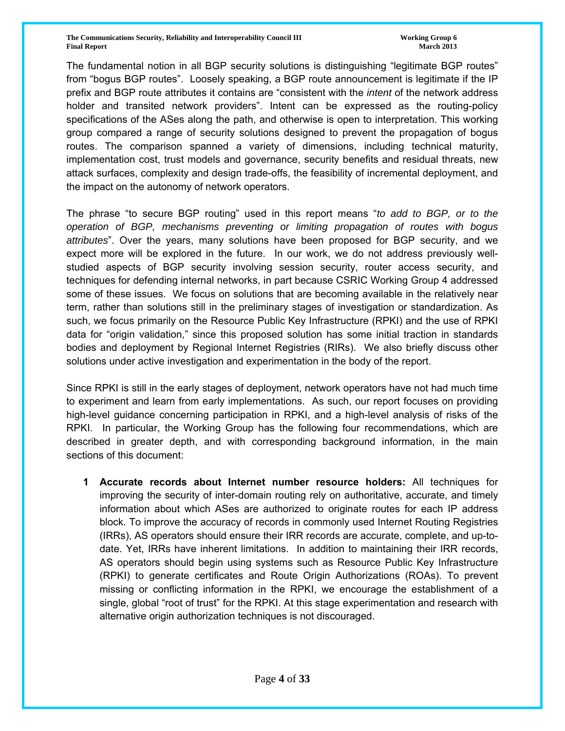**The Communications Security, Reliability and Interoperability Council III The Communications of Group 6 and Security, Reliability and Interoperability Council III Final Report March 2013**

The fundamental notion in all BGP security solutions is distinguishing "legitimate BGP routes" from "bogus BGP routes". Loosely speaking, a BGP route announcement is legitimate if the IP prefix and BGP route attributes it contains are "consistent with the *intent* of the network address holder and transited network providers". Intent can be expressed as the routing-policy specifications of the ASes along the path, and otherwise is open to interpretation. This working group compared a range of security solutions designed to prevent the propagation of bogus routes. The comparison spanned a variety of dimensions, including technical maturity, implementation cost, trust models and governance, security benefits and residual threats, new attack surfaces, complexity and design trade-offs, the feasibility of incremental deployment, and the impact on the autonomy of network operators.

The phrase "to secure BGP routing" used in this report means "*to add to BGP, or to the operation of BGP, mechanisms preventing or limiting propagation of routes with bogus attributes*". Over the years, many solutions have been proposed for BGP security, and we expect more will be explored in the future. In our work, we do not address previously wellstudied aspects of BGP security involving session security, router access security, and techniques for defending internal networks, in part because CSRIC Working Group 4 addressed some of these issues. We focus on solutions that are becoming available in the relatively near term, rather than solutions still in the preliminary stages of investigation or standardization. As such, we focus primarily on the Resource Public Key Infrastructure (RPKI) and the use of RPKI data for "origin validation," since this proposed solution has some initial traction in standards bodies and deployment by Regional Internet Registries (RIRs). We also briefly discuss other solutions under active investigation and experimentation in the body of the report.

Since RPKI is still in the early stages of deployment, network operators have not had much time to experiment and learn from early implementations. As such, our report focuses on providing high-level guidance concerning participation in RPKI, and a high-level analysis of risks of the RPKI. In particular, the Working Group has the following four recommendations, which are described in greater depth, and with corresponding background information, in the main sections of this document:

**1 Accurate records about Internet number resource holders:** All techniques for improving the security of inter-domain routing rely on authoritative, accurate, and timely information about which ASes are authorized to originate routes for each IP address block. To improve the accuracy of records in commonly used Internet Routing Registries (IRRs), AS operators should ensure their IRR records are accurate, complete, and up-todate. Yet, IRRs have inherent limitations. In addition to maintaining their IRR records, AS operators should begin using systems such as Resource Public Key Infrastructure (RPKI) to generate certificates and Route Origin Authorizations (ROAs). To prevent missing or conflicting information in the RPKI, we encourage the establishment of a single, global "root of trust" for the RPKI. At this stage experimentation and research with alternative origin authorization techniques is not discouraged.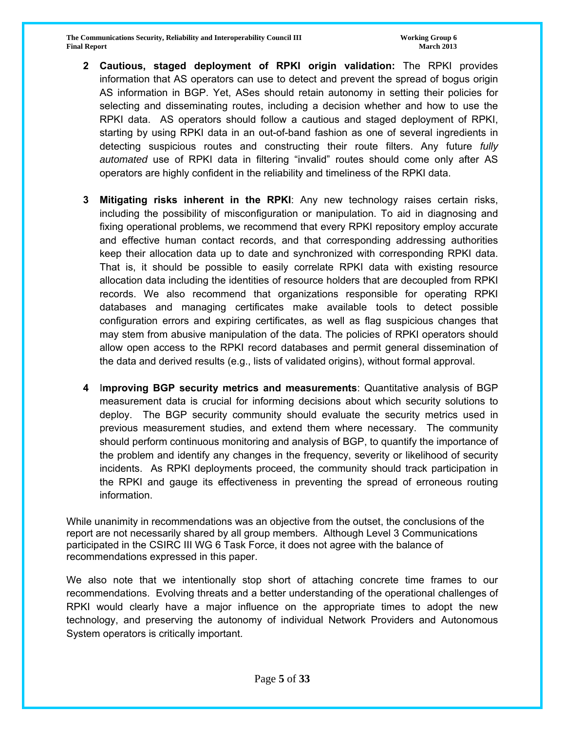**The Communications Security, Reliability and Interoperability Council III The Communications of Group 6 and Security, Reliability and Interoperability Council III Final Report March 2013**

- **2 Cautious, staged deployment of RPKI origin validation:** The RPKI provides information that AS operators can use to detect and prevent the spread of bogus origin AS information in BGP. Yet, ASes should retain autonomy in setting their policies for selecting and disseminating routes, including a decision whether and how to use the RPKI data. AS operators should follow a cautious and staged deployment of RPKI, starting by using RPKI data in an out-of-band fashion as one of several ingredients in detecting suspicious routes and constructing their route filters. Any future *fully automated* use of RPKI data in filtering "invalid" routes should come only after AS operators are highly confident in the reliability and timeliness of the RPKI data.
- **3 Mitigating risks inherent in the RPKI**: Any new technology raises certain risks, including the possibility of misconfiguration or manipulation. To aid in diagnosing and fixing operational problems, we recommend that every RPKI repository employ accurate and effective human contact records, and that corresponding addressing authorities keep their allocation data up to date and synchronized with corresponding RPKI data. That is, it should be possible to easily correlate RPKI data with existing resource allocation data including the identities of resource holders that are decoupled from RPKI records. We also recommend that organizations responsible for operating RPKI databases and managing certificates make available tools to detect possible configuration errors and expiring certificates, as well as flag suspicious changes that may stem from abusive manipulation of the data. The policies of RPKI operators should allow open access to the RPKI record databases and permit general dissemination of the data and derived results (e.g., lists of validated origins), without formal approval.
- **4** I**mproving BGP security metrics and measurements**: Quantitative analysis of BGP measurement data is crucial for informing decisions about which security solutions to deploy. The BGP security community should evaluate the security metrics used in previous measurement studies, and extend them where necessary. The community should perform continuous monitoring and analysis of BGP, to quantify the importance of the problem and identify any changes in the frequency, severity or likelihood of security incidents. As RPKI deployments proceed, the community should track participation in the RPKI and gauge its effectiveness in preventing the spread of erroneous routing information.

While unanimity in recommendations was an objective from the outset, the conclusions of the report are not necessarily shared by all group members. Although Level 3 Communications participated in the CSIRC III WG 6 Task Force, it does not agree with the balance of recommendations expressed in this paper.

We also note that we intentionally stop short of attaching concrete time frames to our recommendations. Evolving threats and a better understanding of the operational challenges of RPKI would clearly have a major influence on the appropriate times to adopt the new technology, and preserving the autonomy of individual Network Providers and Autonomous System operators is critically important.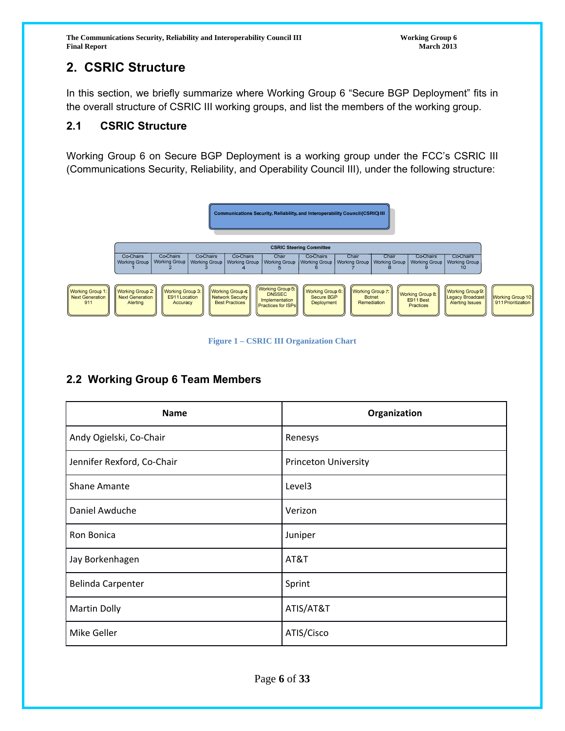The Communications Security, Reliability and Interoperability Council III **Working Group 6**<br>Final Report March 2013 **Final Report March 2013**

# **2. CSRIC Structure**

In this section, we briefly summarize where Working Group 6 "Secure BGP Deployment" fits in the overall structure of CSRIC III working groups, and list the members of the working group.

# **2.1 CSRIC Structure**

Working Group 6 on Secure BGP Deployment is a working group under the FCC's CSRIC III (Communications Security, Reliability, and Operability Council III), under the following structure:



**Figure 1 – CSRIC III Organization Chart** 

# **2.2 Working Group 6 Team Members**

| <b>Name</b>                | Organization                |
|----------------------------|-----------------------------|
| Andy Ogielski, Co-Chair    | Renesys                     |
| Jennifer Rexford, Co-Chair | <b>Princeton University</b> |
| <b>Shane Amante</b>        | Level3                      |
| Daniel Awduche             | Verizon                     |
| Ron Bonica                 | Juniper                     |
| Jay Borkenhagen            | AT&T                        |
| <b>Belinda Carpenter</b>   | Sprint                      |
| <b>Martin Dolly</b>        | ATIS/AT&T                   |
| Mike Geller                | ATIS/Cisco                  |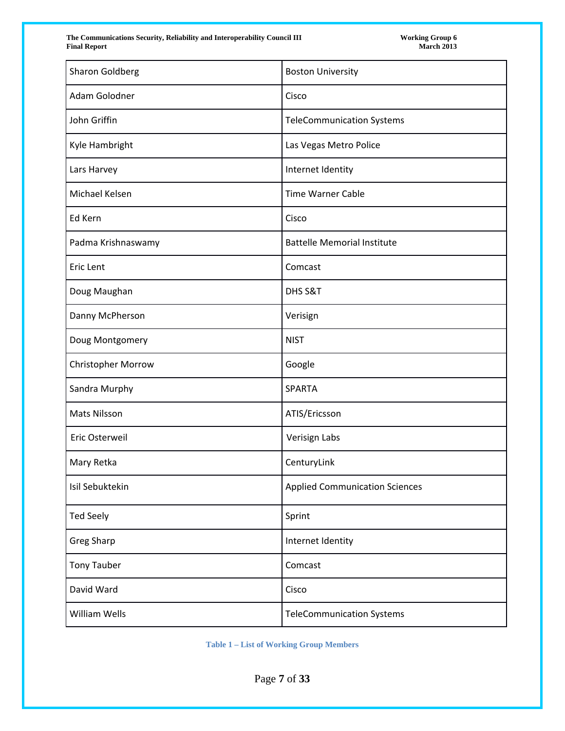The Communications Security, Reliability and Interoperability Council III Final Report

| <b>Sharon Goldberg</b> | <b>Boston University</b>              |
|------------------------|---------------------------------------|
| Adam Golodner          | Cisco                                 |
| John Griffin           | <b>TeleCommunication Systems</b>      |
| Kyle Hambright         | Las Vegas Metro Police                |
| Lars Harvey            | Internet Identity                     |
| Michael Kelsen         | <b>Time Warner Cable</b>              |
| Ed Kern                | Cisco                                 |
| Padma Krishnaswamy     | <b>Battelle Memorial Institute</b>    |
| Eric Lent              | Comcast                               |
| Doug Maughan           | DHS S&T                               |
| Danny McPherson        | Verisign                              |
| Doug Montgomery        | <b>NIST</b>                           |
| Christopher Morrow     | Google                                |
| Sandra Murphy          | <b>SPARTA</b>                         |
| Mats Nilsson           | ATIS/Ericsson                         |
| Eric Osterweil         | Verisign Labs                         |
| Mary Retka             | CenturyLink                           |
| Isil Sebuktekin        | <b>Applied Communication Sciences</b> |
| <b>Ted Seely</b>       | Sprint                                |
| <b>Greg Sharp</b>      | Internet Identity                     |
| <b>Tony Tauber</b>     | Comcast                               |
| David Ward             | Cisco                                 |
| William Wells          | <b>TeleCommunication Systems</b>      |

**Table 1 – List of Working Group Members** 

Page **7** of **33**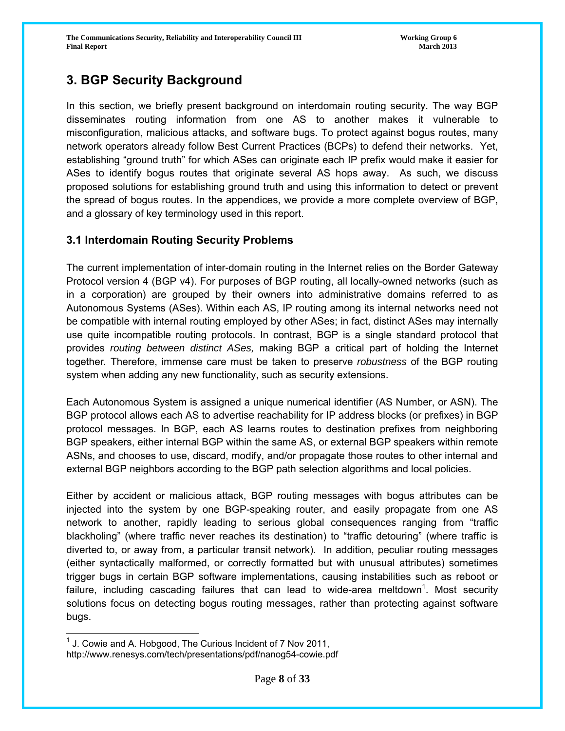# **3. BGP Security Background**

In this section, we briefly present background on interdomain routing security. The way BGP disseminates routing information from one AS to another makes it vulnerable to misconfiguration, malicious attacks, and software bugs. To protect against bogus routes, many network operators already follow Best Current Practices (BCPs) to defend their networks. Yet, establishing "ground truth" for which ASes can originate each IP prefix would make it easier for ASes to identify bogus routes that originate several AS hops away. As such, we discuss proposed solutions for establishing ground truth and using this information to detect or prevent the spread of bogus routes. In the appendices, we provide a more complete overview of BGP, and a glossary of key terminology used in this report.

# **3.1 Interdomain Routing Security Problems**

The current implementation of inter-domain routing in the Internet relies on the Border Gateway Protocol version 4 (BGP v4). For purposes of BGP routing, all locally-owned networks (such as in a corporation) are grouped by their owners into administrative domains referred to as Autonomous Systems (ASes). Within each AS, IP routing among its internal networks need not be compatible with internal routing employed by other ASes; in fact, distinct ASes may internally use quite incompatible routing protocols. In contrast, BGP is a single standard protocol that provides *routing between distinct ASes,* making BGP a critical part of holding the Internet together*.* Therefore, immense care must be taken to preserve *robustness* of the BGP routing system when adding any new functionality, such as security extensions.

Each Autonomous System is assigned a unique numerical identifier (AS Number, or ASN). The BGP protocol allows each AS to advertise reachability for IP address blocks (or prefixes) in BGP protocol messages. In BGP, each AS learns routes to destination prefixes from neighboring BGP speakers, either internal BGP within the same AS, or external BGP speakers within remote ASNs, and chooses to use, discard, modify, and/or propagate those routes to other internal and external BGP neighbors according to the BGP path selection algorithms and local policies.

Either by accident or malicious attack, BGP routing messages with bogus attributes can be injected into the system by one BGP-speaking router, and easily propagate from one AS network to another, rapidly leading to serious global consequences ranging from "traffic blackholing" (where traffic never reaches its destination) to "traffic detouring" (where traffic is diverted to, or away from, a particular transit network). In addition, peculiar routing messages (either syntactically malformed, or correctly formatted but with unusual attributes) sometimes trigger bugs in certain BGP software implementations, causing instabilities such as reboot or failure, including cascading failures that can lead to wide-area meltdown<sup>1</sup>. Most security solutions focus on detecting bogus routing messages, rather than protecting against software bugs.

 $\overline{a}$  $1$  J. Cowie and A. Hobgood, The Curious Incident of 7 Nov 2011, http://www.renesys.com/tech/presentations/pdf/nanog54-cowie.pdf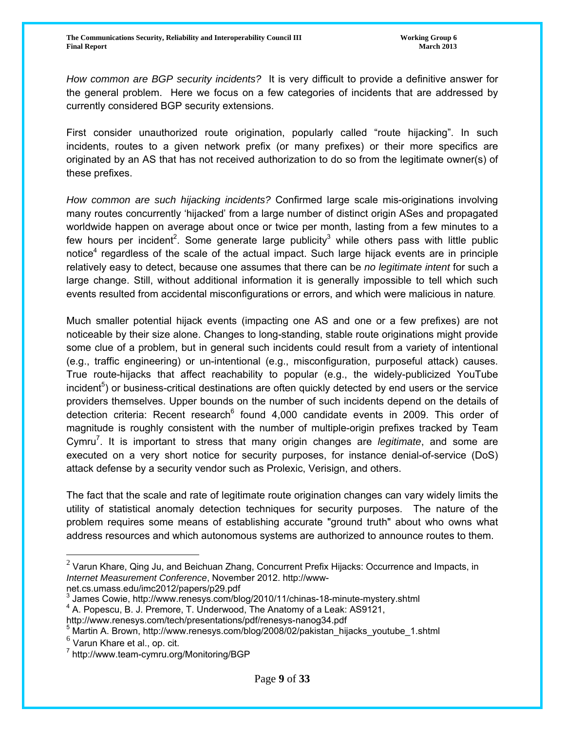*How common are BGP security incidents?* It is very difficult to provide a definitive answer for the general problem. Here we focus on a few categories of incidents that are addressed by currently considered BGP security extensions.

First consider unauthorized route origination, popularly called "route hijacking". In such incidents, routes to a given network prefix (or many prefixes) or their more specifics are originated by an AS that has not received authorization to do so from the legitimate owner(s) of these prefixes.

*How common are such hijacking incidents?* Confirmed large scale mis-originations involving many routes concurrently 'hijacked' from a large number of distinct origin ASes and propagated worldwide happen on average about once or twice per month, lasting from a few minutes to a few hours per incident<sup>2</sup>. Some generate large publicity<sup>3</sup> while others pass with little public notice<sup>4</sup> regardless of the scale of the actual impact. Such large hijack events are in principle relatively easy to detect, because one assumes that there can be *no legitimate intent* for such a large change. Still, without additional information it is generally impossible to tell which such events resulted from accidental misconfigurations or errors, and which were malicious in nature.

Much smaller potential hijack events (impacting one AS and one or a few prefixes) are not noticeable by their size alone. Changes to long-standing, stable route originations might provide some clue of a problem, but in general such incidents could result from a variety of intentional (e.g., traffic engineering) or un-intentional (e.g., misconfiguration, purposeful attack) causes. True route-hijacks that affect reachability to popular (e.g., the widely-publicized YouTube incident<sup>5</sup>) or business-critical destinations are often quickly detected by end users or the service providers themselves. Upper bounds on the number of such incidents depend on the details of detection criteria: Recent research<sup>6</sup> found 4,000 candidate events in 2009. This order of magnitude is roughly consistent with the number of multiple-origin prefixes tracked by Team Cymru<sup>7</sup>. It is important to stress that many origin changes are *legitimate*, and some are executed on a very short notice for security purposes, for instance denial-of-service (DoS) attack defense by a security vendor such as Prolexic, Verisign, and others.

The fact that the scale and rate of legitimate route origination changes can vary widely limits the utility of statistical anomaly detection techniques for security purposes. The nature of the problem requires some means of establishing accurate "ground truth" about who owns what address resources and which autonomous systems are authorized to announce routes to them.

 $^2$  Varun Khare, Qing Ju, and Beichuan Zhang, Concurrent Prefix Hijacks: Occurrence and Impacts, in *Internet Measurement Conference*, November 2012. http://wwwnet.cs.umass.edu/imc2012/papers/p29.pdf

<sup>3</sup> James Cowie, http://www.renesys.com/blog/2010/11/chinas-18-minute-mystery.shtml 4

 $4$  A. Popescu, B. J. Premore, T. Underwood, The Anatomy of a Leak: AS9121,

http://www.renesys.com/tech/presentations/pdf/renesys-nanog34.pdf

<sup>&</sup>lt;sup>5</sup> Martin A. Brown, http://www.renesys.com/blog/2008/02/pakistan\_hijacks\_youtube\_1.shtml

 $<sup>6</sup>$  Varun Khare et al., op. cit.</sup>

<sup>7</sup> http://www.team-cymru.org/Monitoring/BGP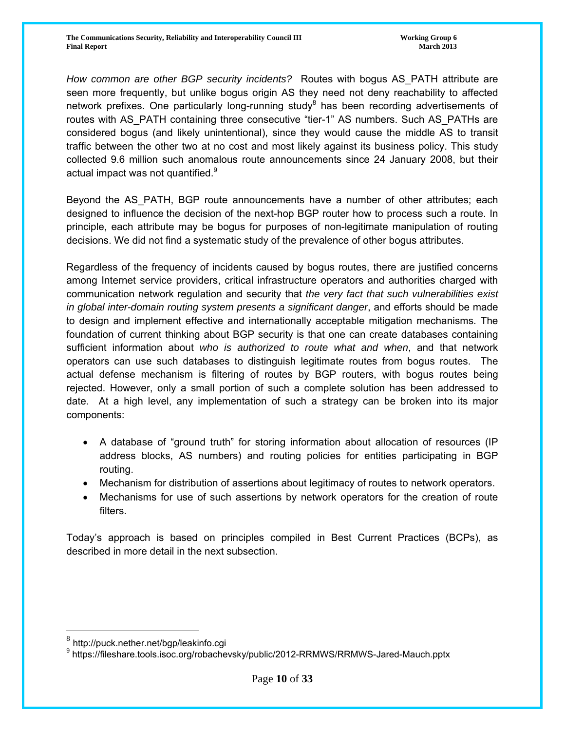*How common are other BGP security incidents?* Routes with bogus AS\_PATH attribute are seen more frequently, but unlike bogus origin AS they need not deny reachability to affected network prefixes. One particularly long-running study<sup>8</sup> has been recording advertisements of routes with AS\_PATH containing three consecutive "tier-1" AS numbers. Such AS\_PATHs are considered bogus (and likely unintentional), since they would cause the middle AS to transit traffic between the other two at no cost and most likely against its business policy. This study collected 9.6 million such anomalous route announcements since 24 January 2008, but their actual impact was not quantified.<sup>9</sup>

Beyond the AS PATH, BGP route announcements have a number of other attributes; each designed to influence the decision of the next-hop BGP router how to process such a route. In principle, each attribute may be bogus for purposes of non-legitimate manipulation of routing decisions. We did not find a systematic study of the prevalence of other bogus attributes.

Regardless of the frequency of incidents caused by bogus routes, there are justified concerns among Internet service providers, critical infrastructure operators and authorities charged with communication network regulation and security that *the very fact that such vulnerabilities exist in global inter-domain routing system presents a significant danger*, and efforts should be made to design and implement effective and internationally acceptable mitigation mechanisms. The foundation of current thinking about BGP security is that one can create databases containing sufficient information about *who is authorized to route what and when*, and that network operators can use such databases to distinguish legitimate routes from bogus routes. The actual defense mechanism is filtering of routes by BGP routers, with bogus routes being rejected. However, only a small portion of such a complete solution has been addressed to date. At a high level, any implementation of such a strategy can be broken into its major components:

- A database of "ground truth" for storing information about allocation of resources (IP address blocks, AS numbers) and routing policies for entities participating in BGP routing.
- Mechanism for distribution of assertions about legitimacy of routes to network operators.
- Mechanisms for use of such assertions by network operators for the creation of route filters.

Today's approach is based on principles compiled in Best Current Practices (BCPs), as described in more detail in the next subsection.

<sup>8</sup> http://puck.nether.net/bgp/leakinfo.cgi

<sup>9&</sup>lt;br>https://fileshare.tools.isoc.org/robachevsky/public/2012-RRMWS/RRMWS-Jared-Mauch.pptx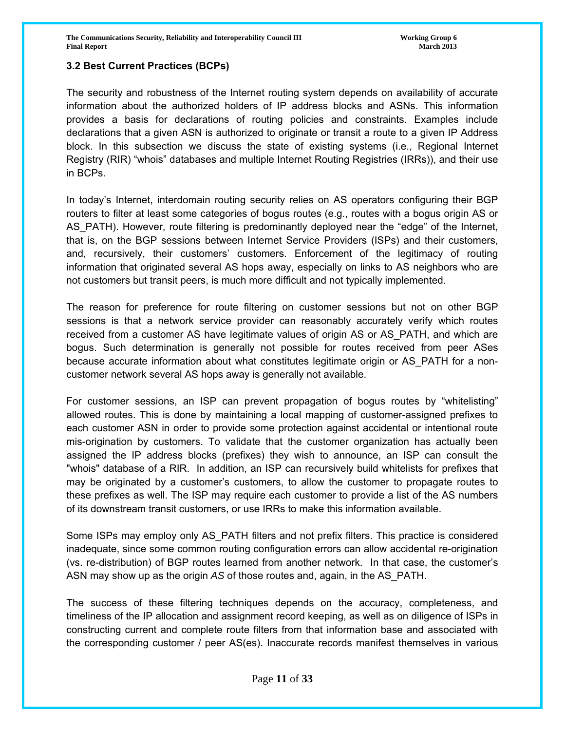#### **3.2 Best Current Practices (BCPs)**

The security and robustness of the Internet routing system depends on availability of accurate information about the authorized holders of IP address blocks and ASNs. This information provides a basis for declarations of routing policies and constraints. Examples include declarations that a given ASN is authorized to originate or transit a route to a given IP Address block. In this subsection we discuss the state of existing systems (i.e., Regional Internet Registry (RIR) "whois" databases and multiple Internet Routing Registries (IRRs)), and their use in BCPs.

In today's Internet, interdomain routing security relies on AS operators configuring their BGP routers to filter at least some categories of bogus routes (e.g., routes with a bogus origin AS or AS PATH). However, route filtering is predominantly deployed near the "edge" of the Internet, that is, on the BGP sessions between Internet Service Providers (ISPs) and their customers, and, recursively, their customers' customers. Enforcement of the legitimacy of routing information that originated several AS hops away, especially on links to AS neighbors who are not customers but transit peers, is much more difficult and not typically implemented.

The reason for preference for route filtering on customer sessions but not on other BGP sessions is that a network service provider can reasonably accurately verify which routes received from a customer AS have legitimate values of origin AS or AS PATH, and which are bogus. Such determination is generally not possible for routes received from peer ASes because accurate information about what constitutes legitimate origin or AS\_PATH for a noncustomer network several AS hops away is generally not available.

For customer sessions, an ISP can prevent propagation of bogus routes by "whitelisting" allowed routes. This is done by maintaining a local mapping of customer-assigned prefixes to each customer ASN in order to provide some protection against accidental or intentional route mis-origination by customers. To validate that the customer organization has actually been assigned the IP address blocks (prefixes) they wish to announce, an ISP can consult the "whois" database of a RIR. In addition, an ISP can recursively build whitelists for prefixes that may be originated by a customer's customers, to allow the customer to propagate routes to these prefixes as well. The ISP may require each customer to provide a list of the AS numbers of its downstream transit customers, or use IRRs to make this information available.

Some ISPs may employ only AS\_PATH filters and not prefix filters. This practice is considered inadequate, since some common routing configuration errors can allow accidental re-origination (vs. re-distribution) of BGP routes learned from another network. In that case, the customer's ASN may show up as the origin *AS* of those routes and, again, in the AS\_PATH.

The success of these filtering techniques depends on the accuracy, completeness, and timeliness of the IP allocation and assignment record keeping, as well as on diligence of ISPs in constructing current and complete route filters from that information base and associated with the corresponding customer / peer AS(es). Inaccurate records manifest themselves in various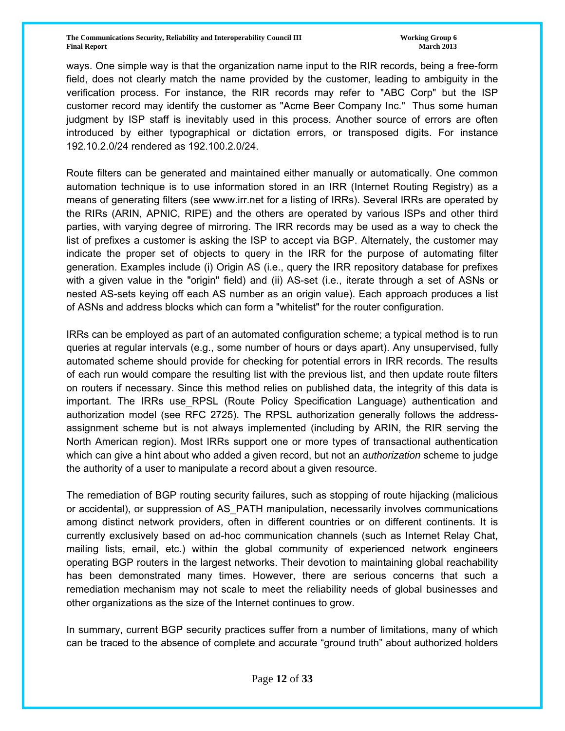ways. One simple way is that the organization name input to the RIR records, being a free-form field, does not clearly match the name provided by the customer, leading to ambiguity in the verification process. For instance, the RIR records may refer to "ABC Corp" but the ISP customer record may identify the customer as "Acme Beer Company Inc." Thus some human judgment by ISP staff is inevitably used in this process. Another source of errors are often introduced by either typographical or dictation errors, or transposed digits. For instance 192.10.2.0/24 rendered as 192.100.2.0/24.

Route filters can be generated and maintained either manually or automatically. One common automation technique is to use information stored in an IRR (Internet Routing Registry) as a means of generating filters (see www.irr.net for a listing of IRRs). Several IRRs are operated by the RIRs (ARIN, APNIC, RIPE) and the others are operated by various ISPs and other third parties, with varying degree of mirroring. The IRR records may be used as a way to check the list of prefixes a customer is asking the ISP to accept via BGP. Alternately, the customer may indicate the proper set of objects to query in the IRR for the purpose of automating filter generation. Examples include (i) Origin AS (i.e., query the IRR repository database for prefixes with a given value in the "origin" field) and (ii) AS-set (i.e., iterate through a set of ASNs or nested AS-sets keying off each AS number as an origin value). Each approach produces a list of ASNs and address blocks which can form a "whitelist" for the router configuration.

IRRs can be employed as part of an automated configuration scheme; a typical method is to run queries at regular intervals (e.g., some number of hours or days apart). Any unsupervised, fully automated scheme should provide for checking for potential errors in IRR records. The results of each run would compare the resulting list with the previous list, and then update route filters on routers if necessary. Since this method relies on published data, the integrity of this data is important. The IRRs use RPSL (Route Policy Specification Language) authentication and authorization model (see RFC 2725). The RPSL authorization generally follows the addressassignment scheme but is not always implemented (including by ARIN, the RIR serving the North American region). Most IRRs support one or more types of transactional authentication which can give a hint about who added a given record, but not an *authorization* scheme to judge the authority of a user to manipulate a record about a given resource.

The remediation of BGP routing security failures, such as stopping of route hijacking (malicious or accidental), or suppression of AS\_PATH manipulation, necessarily involves communications among distinct network providers, often in different countries or on different continents. It is currently exclusively based on ad-hoc communication channels (such as Internet Relay Chat, mailing lists, email, etc.) within the global community of experienced network engineers operating BGP routers in the largest networks. Their devotion to maintaining global reachability has been demonstrated many times. However, there are serious concerns that such a remediation mechanism may not scale to meet the reliability needs of global businesses and other organizations as the size of the Internet continues to grow.

In summary, current BGP security practices suffer from a number of limitations, many of which can be traced to the absence of complete and accurate "ground truth" about authorized holders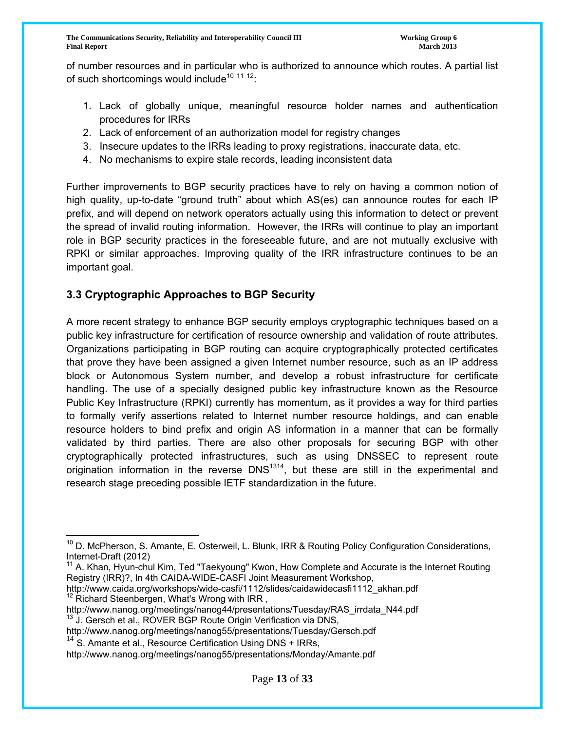**The Communications Security, Reliability and Interoperability Council III The Communications of Group 6 and Security, Reliability and Interoperability Council III Final Report March 2013**

of number resources and in particular who is authorized to announce which routes. A partial list of such shortcomings would include<sup>10 11 12</sup>:

- 1. Lack of globally unique, meaningful resource holder names and authentication procedures for IRRs
- 2. Lack of enforcement of an authorization model for registry changes
- 3. Insecure updates to the IRRs leading to proxy registrations, inaccurate data, etc.
- 4. No mechanisms to expire stale records, leading inconsistent data

Further improvements to BGP security practices have to rely on having a common notion of high quality, up-to-date "ground truth" about which AS(es) can announce routes for each IP prefix, and will depend on network operators actually using this information to detect or prevent the spread of invalid routing information. However, the IRRs will continue to play an important role in BGP security practices in the foreseeable future, and are not mutually exclusive with RPKI or similar approaches. Improving quality of the IRR infrastructure continues to be an important goal.

# **3.3 Cryptographic Approaches to BGP Security**

A more recent strategy to enhance BGP security employs cryptographic techniques based on a public key infrastructure for certification of resource ownership and validation of route attributes. Organizations participating in BGP routing can acquire cryptographically protected certificates that prove they have been assigned a given Internet number resource, such as an IP address block or Autonomous System number, and develop a robust infrastructure for certificate handling. The use of a specially designed public key infrastructure known as the Resource Public Key Infrastructure (RPKI) currently has momentum, as it provides a way for third parties to formally verify assertions related to Internet number resource holdings, and can enable resource holders to bind prefix and origin AS information in a manner that can be formally validated by third parties. There are also other proposals for securing BGP with other cryptographically protected infrastructures, such as using DNSSEC to represent route origination information in the reverse  $DNS^{1314}$ , but these are still in the experimental and research stage preceding possible IETF standardization in the future.

- http://www.caida.org/workshops/wide-casfi/1112/slides/caidawidecasfi1112\_akhan.pdf<br><sup>12</sup> Richard Steenbergen, What's Wrong with IRR ,
- http://www.nanog.org/meetings/nanog44/presentations/Tuesday/RAS\_irrdata\_N44.pdf <sup>13</sup> J. Gersch et al., ROVER BGP Route Origin Verification via DNS,
- http://www.nanog.org/meetings/nanog55/presentations/Tuesday/Gersch.pdf

 $14$  S. Amante et al., Resource Certification Using DNS + IRRs,

http://www.nanog.org/meetings/nanog55/presentations/Monday/Amante.pdf

 $\overline{a}$ <sup>10</sup> D. McPherson, S. Amante, E. Osterweil, L. Blunk, IRR & Routing Policy Configuration Considerations, Internet-Draft (2012)

 $11$  A. Khan, Hyun-chul Kim, Ted "Taekyoung" Kwon, How Complete and Accurate is the Internet Routing Registry (IRR)?, In 4th CAIDA-WIDE-CASFI Joint Measurement Workshop,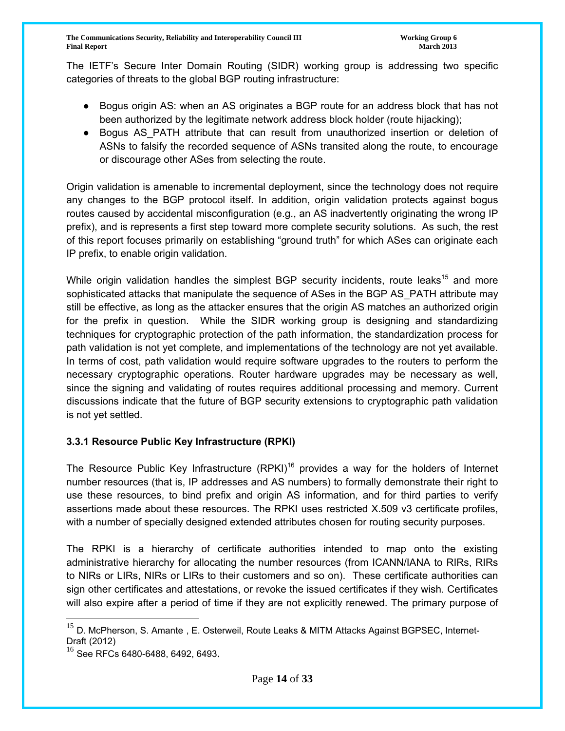The IETF's Secure Inter Domain Routing (SIDR) working group is addressing two specific categories of threats to the global BGP routing infrastructure:

- Bogus origin AS: when an AS originates a BGP route for an address block that has not been authorized by the legitimate network address block holder (route hijacking);
- Bogus AS PATH attribute that can result from unauthorized insertion or deletion of ASNs to falsify the recorded sequence of ASNs transited along the route, to encourage or discourage other ASes from selecting the route.

Origin validation is amenable to incremental deployment, since the technology does not require any changes to the BGP protocol itself. In addition, origin validation protects against bogus routes caused by accidental misconfiguration (e.g., an AS inadvertently originating the wrong IP prefix), and is represents a first step toward more complete security solutions. As such, the rest of this report focuses primarily on establishing "ground truth" for which ASes can originate each IP prefix, to enable origin validation.

While origin validation handles the simplest BGP security incidents, route leaks<sup>15</sup> and more sophisticated attacks that manipulate the sequence of ASes in the BGP AS\_PATH attribute may still be effective, as long as the attacker ensures that the origin AS matches an authorized origin for the prefix in question. While the SIDR working group is designing and standardizing techniques for cryptographic protection of the path information, the standardization process for path validation is not yet complete, and implementations of the technology are not yet available. In terms of cost, path validation would require software upgrades to the routers to perform the necessary cryptographic operations. Router hardware upgrades may be necessary as well, since the signing and validating of routes requires additional processing and memory. Current discussions indicate that the future of BGP security extensions to cryptographic path validation is not yet settled.

#### **3.3.1 Resource Public Key Infrastructure (RPKI)**

The Resource Public Key Infrastructure  $(RPKI)^{16}$  provides a way for the holders of Internet number resources (that is, IP addresses and AS numbers) to formally demonstrate their right to use these resources, to bind prefix and origin AS information, and for third parties to verify assertions made about these resources. The RPKI uses restricted X.509 v3 certificate profiles, with a number of specially designed extended attributes chosen for routing security purposes.

The RPKI is a hierarchy of certificate authorities intended to map onto the existing administrative hierarchy for allocating the number resources (from ICANN/IANA to RIRs, RIRs to NIRs or LIRs, NIRs or LIRs to their customers and so on). These certificate authorities can sign other certificates and attestations, or revoke the issued certificates if they wish. Certificates will also expire after a period of time if they are not explicitly renewed. The primary purpose of

<sup>&</sup>lt;sup>15</sup> D. McPherson, S. Amante, E. Osterweil, Route Leaks & MITM Attacks Against BGPSEC, Internet-Draft (2012)

 $16$  See RFCs 6480-6488, 6492, 6493.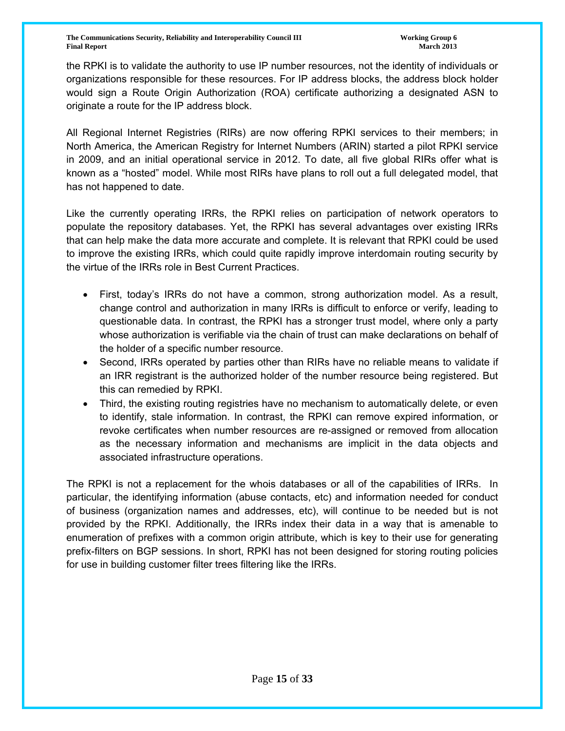the RPKI is to validate the authority to use IP number resources, not the identity of individuals or organizations responsible for these resources. For IP address blocks, the address block holder would sign a Route Origin Authorization (ROA) certificate authorizing a designated ASN to originate a route for the IP address block.

All Regional Internet Registries (RIRs) are now offering RPKI services to their members; in North America, the American Registry for Internet Numbers (ARIN) started a pilot RPKI service in 2009, and an initial operational service in 2012. To date, all five global RIRs offer what is known as a "hosted" model. While most RIRs have plans to roll out a full delegated model, that has not happened to date.

Like the currently operating IRRs, the RPKI relies on participation of network operators to populate the repository databases. Yet, the RPKI has several advantages over existing IRRs that can help make the data more accurate and complete. It is relevant that RPKI could be used to improve the existing IRRs, which could quite rapidly improve interdomain routing security by the virtue of the IRRs role in Best Current Practices.

- First, today's IRRs do not have a common, strong authorization model. As a result, change control and authorization in many IRRs is difficult to enforce or verify, leading to questionable data. In contrast, the RPKI has a stronger trust model, where only a party whose authorization is verifiable via the chain of trust can make declarations on behalf of the holder of a specific number resource.
- Second, IRRs operated by parties other than RIRs have no reliable means to validate if an IRR registrant is the authorized holder of the number resource being registered. But this can remedied by RPKI.
- Third, the existing routing registries have no mechanism to automatically delete, or even to identify, stale information. In contrast, the RPKI can remove expired information, or revoke certificates when number resources are re-assigned or removed from allocation as the necessary information and mechanisms are implicit in the data objects and associated infrastructure operations.

The RPKI is not a replacement for the whois databases or all of the capabilities of IRRs. In particular, the identifying information (abuse contacts, etc) and information needed for conduct of business (organization names and addresses, etc), will continue to be needed but is not provided by the RPKI. Additionally, the IRRs index their data in a way that is amenable to enumeration of prefixes with a common origin attribute, which is key to their use for generating prefix-filters on BGP sessions. In short, RPKI has not been designed for storing routing policies for use in building customer filter trees filtering like the IRRs.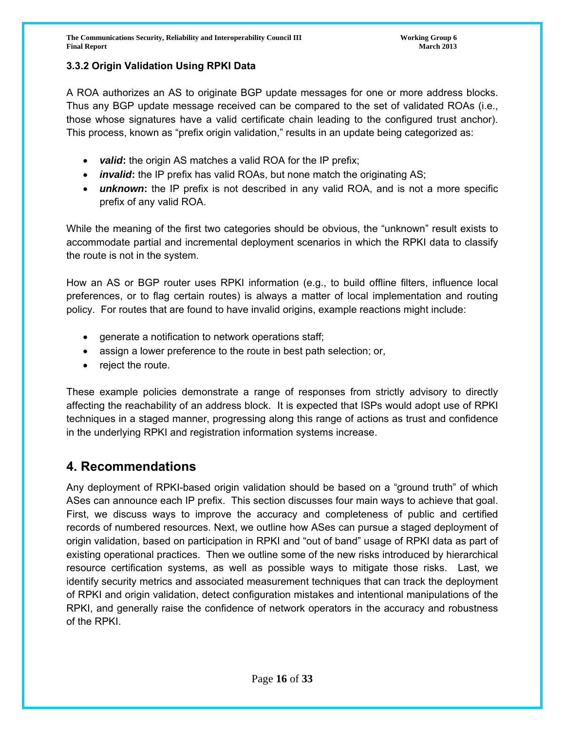#### **3.3.2 Origin Validation Using RPKI Data**

A ROA authorizes an AS to originate BGP update messages for one or more address blocks. Thus any BGP update message received can be compared to the set of validated ROAs (i.e., those whose signatures have a valid certificate chain leading to the configured trust anchor). This process, known as "prefix origin validation," results in an update being categorized as:

- *valid***:** the origin AS matches a valid ROA for the IP prefix;
- *invalid***:** the IP prefix has valid ROAs, but none match the originating AS;
- *unknown*: the IP prefix is not described in any valid ROA, and is not a more specific prefix of any valid ROA.

While the meaning of the first two categories should be obvious, the "unknown" result exists to accommodate partial and incremental deployment scenarios in which the RPKI data to classify the route is not in the system.

How an AS or BGP router uses RPKI information (e.g., to build offline filters, influence local preferences, or to flag certain routes) is always a matter of local implementation and routing policy. For routes that are found to have invalid origins, example reactions might include:

- generate a notification to network operations staff;
- assign a lower preference to the route in best path selection; or,
- reject the route.

These example policies demonstrate a range of responses from strictly advisory to directly affecting the reachability of an address block. It is expected that ISPs would adopt use of RPKI techniques in a staged manner, progressing along this range of actions as trust and confidence in the underlying RPKI and registration information systems increase.

# **4. Recommendations**

Any deployment of RPKI-based origin validation should be based on a "ground truth" of which ASes can announce each IP prefix. This section discusses four main ways to achieve that goal. First, we discuss ways to improve the accuracy and completeness of public and certified records of numbered resources. Next, we outline how ASes can pursue a staged deployment of origin validation, based on participation in RPKI and "out of band" usage of RPKI data as part of existing operational practices. Then we outline some of the new risks introduced by hierarchical resource certification systems, as well as possible ways to mitigate those risks. Last, we identify security metrics and associated measurement techniques that can track the deployment of RPKI and origin validation, detect configuration mistakes and intentional manipulations of the RPKI, and generally raise the confidence of network operators in the accuracy and robustness of the RPKI.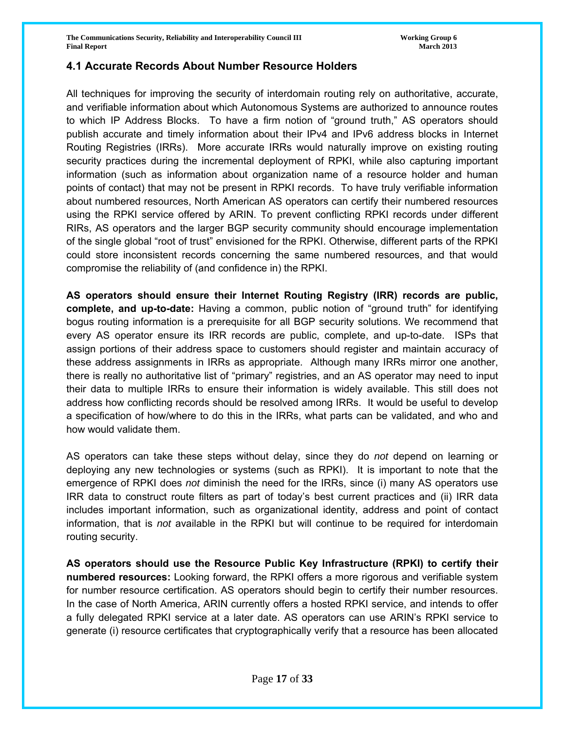#### **4.1 Accurate Records About Number Resource Holders**

All techniques for improving the security of interdomain routing rely on authoritative, accurate, and verifiable information about which Autonomous Systems are authorized to announce routes to which IP Address Blocks. To have a firm notion of "ground truth," AS operators should publish accurate and timely information about their IPv4 and IPv6 address blocks in Internet Routing Registries (IRRs). More accurate IRRs would naturally improve on existing routing security practices during the incremental deployment of RPKI, while also capturing important information (such as information about organization name of a resource holder and human points of contact) that may not be present in RPKI records. To have truly verifiable information about numbered resources, North American AS operators can certify their numbered resources using the RPKI service offered by ARIN. To prevent conflicting RPKI records under different RIRs, AS operators and the larger BGP security community should encourage implementation of the single global "root of trust" envisioned for the RPKI. Otherwise, different parts of the RPKI could store inconsistent records concerning the same numbered resources, and that would compromise the reliability of (and confidence in) the RPKI.

**AS operators should ensure their Internet Routing Registry (IRR) records are public, complete, and up-to-date:** Having a common, public notion of "ground truth" for identifying bogus routing information is a prerequisite for all BGP security solutions. We recommend that every AS operator ensure its IRR records are public, complete, and up-to-date. ISPs that assign portions of their address space to customers should register and maintain accuracy of these address assignments in IRRs as appropriate. Although many IRRs mirror one another, there is really no authoritative list of "primary" registries, and an AS operator may need to input their data to multiple IRRs to ensure their information is widely available. This still does not address how conflicting records should be resolved among IRRs. It would be useful to develop a specification of how/where to do this in the IRRs, what parts can be validated, and who and how would validate them.

AS operators can take these steps without delay, since they do *not* depend on learning or deploying any new technologies or systems (such as RPKI). It is important to note that the emergence of RPKI does *not* diminish the need for the IRRs, since (i) many AS operators use IRR data to construct route filters as part of today's best current practices and (ii) IRR data includes important information, such as organizational identity, address and point of contact information, that is *not* available in the RPKI but will continue to be required for interdomain routing security.

**AS operators should use the Resource Public Key Infrastructure (RPKI) to certify their numbered resources:** Looking forward, the RPKI offers a more rigorous and verifiable system for number resource certification. AS operators should begin to certify their number resources. In the case of North America, ARIN currently offers a hosted RPKI service, and intends to offer a fully delegated RPKI service at a later date. AS operators can use ARIN's RPKI service to generate (i) resource certificates that cryptographically verify that a resource has been allocated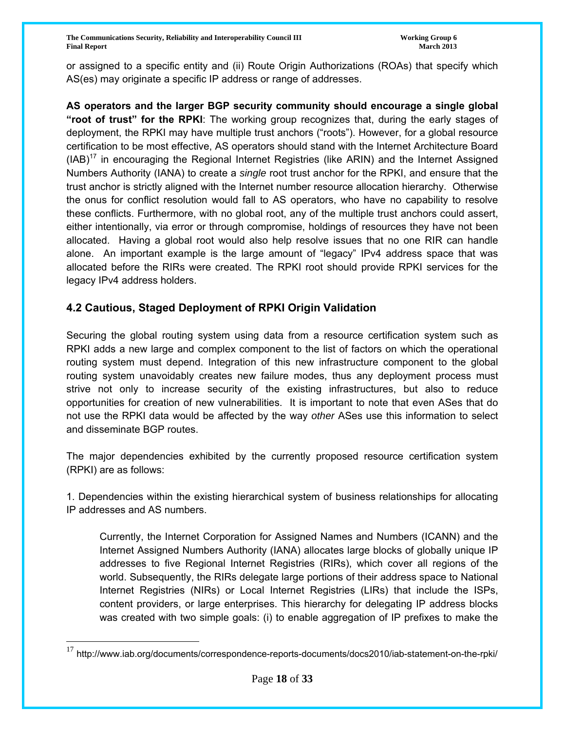or assigned to a specific entity and (ii) Route Origin Authorizations (ROAs) that specify which AS(es) may originate a specific IP address or range of addresses.

**AS operators and the larger BGP security community should encourage a single global "root of trust" for the RPKI**: The working group recognizes that, during the early stages of deployment, the RPKI may have multiple trust anchors ("roots"). However, for a global resource certification to be most effective, AS operators should stand with the Internet Architecture Board  $(IB)^{17}$  in encouraging the Regional Internet Registries (like ARIN) and the Internet Assigned Numbers Authority (IANA) to create a *single* root trust anchor for the RPKI, and ensure that the trust anchor is strictly aligned with the Internet number resource allocation hierarchy. Otherwise the onus for conflict resolution would fall to AS operators, who have no capability to resolve these conflicts. Furthermore, with no global root, any of the multiple trust anchors could assert, either intentionally, via error or through compromise, holdings of resources they have not been allocated. Having a global root would also help resolve issues that no one RIR can handle alone. An important example is the large amount of "legacy" IPv4 address space that was allocated before the RIRs were created. The RPKI root should provide RPKI services for the legacy IPv4 address holders.

# **4.2 Cautious, Staged Deployment of RPKI Origin Validation**

Securing the global routing system using data from a resource certification system such as RPKI adds a new large and complex component to the list of factors on which the operational routing system must depend. Integration of this new infrastructure component to the global routing system unavoidably creates new failure modes, thus any deployment process must strive not only to increase security of the existing infrastructures, but also to reduce opportunities for creation of new vulnerabilities. It is important to note that even ASes that do not use the RPKI data would be affected by the way *other* ASes use this information to select and disseminate BGP routes.

The major dependencies exhibited by the currently proposed resource certification system (RPKI) are as follows:

1. Dependencies within the existing hierarchical system of business relationships for allocating IP addresses and AS numbers.

Currently, the Internet Corporation for Assigned Names and Numbers (ICANN) and the Internet Assigned Numbers Authority (IANA) allocates large blocks of globally unique IP addresses to five Regional Internet Registries (RIRs), which cover all regions of the world. Subsequently, the RIRs delegate large portions of their address space to National Internet Registries (NIRs) or Local Internet Registries (LIRs) that include the ISPs, content providers, or large enterprises. This hierarchy for delegating IP address blocks was created with two simple goals: (i) to enable aggregation of IP prefixes to make the

 $17$  http://www.iab.org/documents/correspondence-reports-documents/docs2010/iab-statement-on-the-rpki/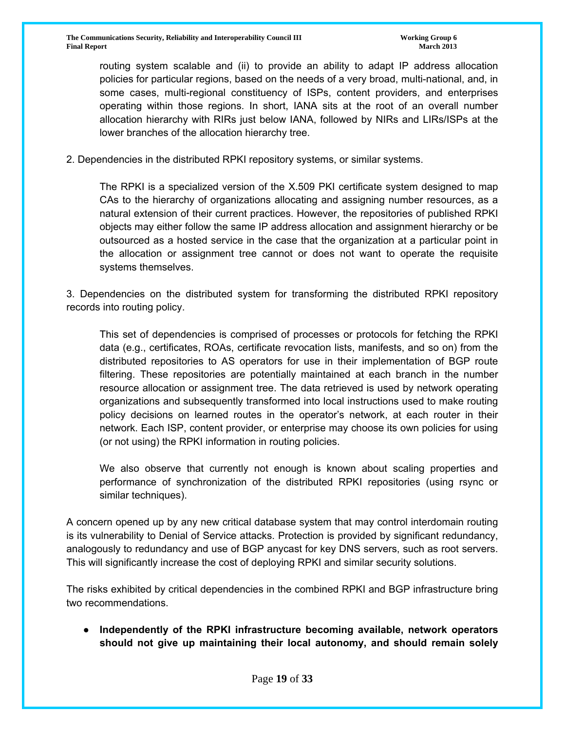routing system scalable and (ii) to provide an ability to adapt IP address allocation policies for particular regions, based on the needs of a very broad, multi-national, and, in some cases, multi-regional constituency of ISPs, content providers, and enterprises operating within those regions. In short, IANA sits at the root of an overall number allocation hierarchy with RIRs just below IANA, followed by NIRs and LIRs/ISPs at the lower branches of the allocation hierarchy tree.

2. Dependencies in the distributed RPKI repository systems, or similar systems.

The RPKI is a specialized version of the X.509 PKI certificate system designed to map CAs to the hierarchy of organizations allocating and assigning number resources, as a natural extension of their current practices. However, the repositories of published RPKI objects may either follow the same IP address allocation and assignment hierarchy or be outsourced as a hosted service in the case that the organization at a particular point in the allocation or assignment tree cannot or does not want to operate the requisite systems themselves.

3. Dependencies on the distributed system for transforming the distributed RPKI repository records into routing policy.

This set of dependencies is comprised of processes or protocols for fetching the RPKI data (e.g., certificates, ROAs, certificate revocation lists, manifests, and so on) from the distributed repositories to AS operators for use in their implementation of BGP route filtering. These repositories are potentially maintained at each branch in the number resource allocation or assignment tree. The data retrieved is used by network operating organizations and subsequently transformed into local instructions used to make routing policy decisions on learned routes in the operator's network, at each router in their network. Each ISP, content provider, or enterprise may choose its own policies for using (or not using) the RPKI information in routing policies.

We also observe that currently not enough is known about scaling properties and performance of synchronization of the distributed RPKI repositories (using rsync or similar techniques).

A concern opened up by any new critical database system that may control interdomain routing is its vulnerability to Denial of Service attacks. Protection is provided by significant redundancy, analogously to redundancy and use of BGP anycast for key DNS servers, such as root servers. This will significantly increase the cost of deploying RPKI and similar security solutions.

The risks exhibited by critical dependencies in the combined RPKI and BGP infrastructure bring two recommendations.

**● Independently of the RPKI infrastructure becoming available, network operators should not give up maintaining their local autonomy, and should remain solely**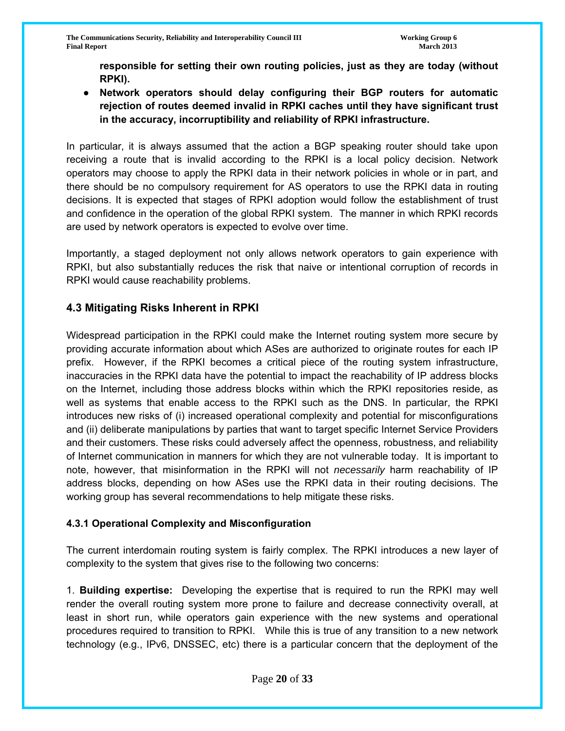**responsible for setting their own routing policies, just as they are today (without RPKI).** 

**● Network operators should delay configuring their BGP routers for automatic rejection of routes deemed invalid in RPKI caches until they have significant trust in the accuracy, incorruptibility and reliability of RPKI infrastructure.**

In particular, it is always assumed that the action a BGP speaking router should take upon receiving a route that is invalid according to the RPKI is a local policy decision. Network operators may choose to apply the RPKI data in their network policies in whole or in part, and there should be no compulsory requirement for AS operators to use the RPKI data in routing decisions. It is expected that stages of RPKI adoption would follow the establishment of trust and confidence in the operation of the global RPKI system. The manner in which RPKI records are used by network operators is expected to evolve over time.

Importantly, a staged deployment not only allows network operators to gain experience with RPKI, but also substantially reduces the risk that naive or intentional corruption of records in RPKI would cause reachability problems.

# **4.3 Mitigating Risks Inherent in RPKI**

Widespread participation in the RPKI could make the Internet routing system more secure by providing accurate information about which ASes are authorized to originate routes for each IP prefix. However, if the RPKI becomes a critical piece of the routing system infrastructure, inaccuracies in the RPKI data have the potential to impact the reachability of IP address blocks on the Internet, including those address blocks within which the RPKI repositories reside, as well as systems that enable access to the RPKI such as the DNS. In particular, the RPKI introduces new risks of (i) increased operational complexity and potential for misconfigurations and (ii) deliberate manipulations by parties that want to target specific Internet Service Providers and their customers. These risks could adversely affect the openness, robustness, and reliability of Internet communication in manners for which they are not vulnerable today. It is important to note, however, that misinformation in the RPKI will not *necessarily* harm reachability of IP address blocks, depending on how ASes use the RPKI data in their routing decisions. The working group has several recommendations to help mitigate these risks.

#### **4.3.1 Operational Complexity and Misconfiguration**

The current interdomain routing system is fairly complex. The RPKI introduces a new layer of complexity to the system that gives rise to the following two concerns:

1. **Building expertise:** Developing the expertise that is required to run the RPKI may well render the overall routing system more prone to failure and decrease connectivity overall, at least in short run, while operators gain experience with the new systems and operational procedures required to transition to RPKI. While this is true of any transition to a new network technology (e.g., IPv6, DNSSEC, etc) there is a particular concern that the deployment of the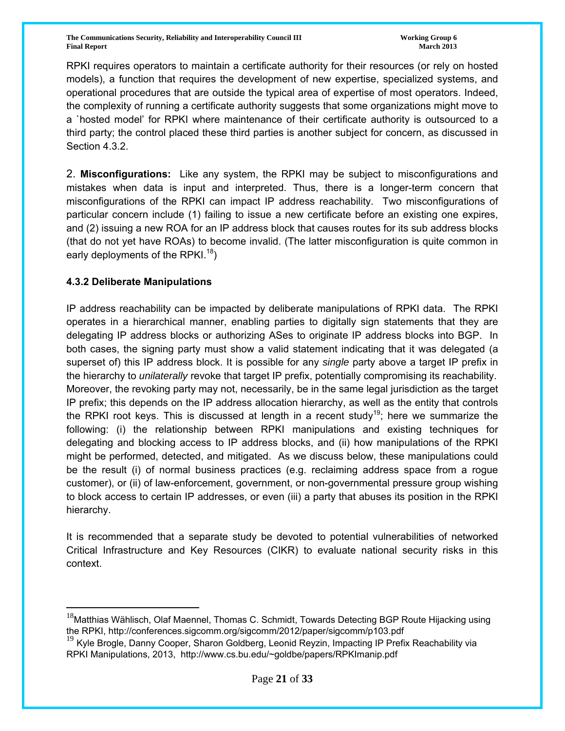**The Communications Security, Reliability and Interoperability Council III The Communications of Group 6 and Security, Reliability and Interoperability Council III Final Report March 2013**

RPKI requires operators to maintain a certificate authority for their resources (or rely on hosted models), a function that requires the development of new expertise, specialized systems, and operational procedures that are outside the typical area of expertise of most operators. Indeed, the complexity of running a certificate authority suggests that some organizations might move to a `hosted model' for RPKI where maintenance of their certificate authority is outsourced to a third party; the control placed these third parties is another subject for concern, as discussed in Section 4.3.2.

2. **Misconfigurations:** Like any system, the RPKI may be subject to misconfigurations and mistakes when data is input and interpreted. Thus, there is a longer-term concern that misconfigurations of the RPKI can impact IP address reachability. Two misconfigurations of particular concern include (1) failing to issue a new certificate before an existing one expires, and (2) issuing a new ROA for an IP address block that causes routes for its sub address blocks (that do not yet have ROAs) to become invalid. (The latter misconfiguration is quite common in early deployments of the RPKI.<sup>18</sup>)

#### **4.3.2 Deliberate Manipulations**

 $\overline{a}$ 

IP address reachability can be impacted by deliberate manipulations of RPKI data. The RPKI operates in a hierarchical manner, enabling parties to digitally sign statements that they are delegating IP address blocks or authorizing ASes to originate IP address blocks into BGP. In both cases, the signing party must show a valid statement indicating that it was delegated (a superset of) this IP address block. It is possible for any *single* party above a target IP prefix in the hierarchy to *unilaterally* revoke that target IP prefix, potentially compromising its reachability. Moreover, the revoking party may not, necessarily, be in the same legal jurisdiction as the target IP prefix; this depends on the IP address allocation hierarchy, as well as the entity that controls the RPKI root keys. This is discussed at length in a recent study<sup>19</sup>; here we summarize the following: (i) the relationship between RPKI manipulations and existing techniques for delegating and blocking access to IP address blocks, and (ii) how manipulations of the RPKI might be performed, detected, and mitigated. As we discuss below, these manipulations could be the result (i) of normal business practices (e.g. reclaiming address space from a rogue customer), or (ii) of law-enforcement, government, or non-governmental pressure group wishing to block access to certain IP addresses, or even (iii) a party that abuses its position in the RPKI hierarchy.

It is recommended that a separate study be devoted to potential vulnerabilities of networked Critical Infrastructure and Key Resources (CIKR) to evaluate national security risks in this context.

<sup>&</sup>lt;sup>18</sup>Matthias Wählisch, Olaf Maennel, Thomas C. Schmidt, Towards Detecting BGP Route Hijacking using the RPKI, http://conferences.sigcomm.org/sigcomm/2012/paper/sigcomm/p103.pdf

<sup>&</sup>lt;sup>19</sup> Kyle Brogle, Danny Cooper, Sharon Goldberg, Leonid Revzin, Impacting IP Prefix Reachability via RPKI Manipulations, 2013, http://www.cs.bu.edu/~goldbe/papers/RPKImanip.pdf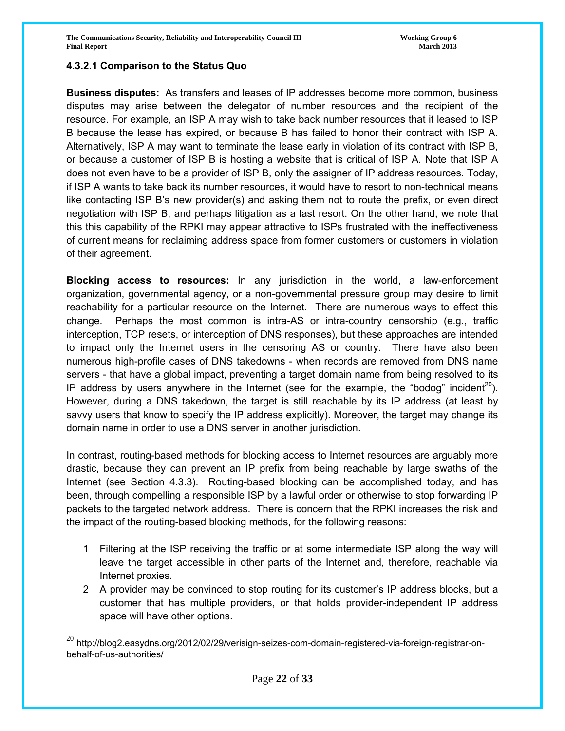### **4.3.2.1 Comparison to the Status Quo**

 $\overline{a}$ 

**Business disputes:** As transfers and leases of IP addresses become more common, business disputes may arise between the delegator of number resources and the recipient of the resource. For example, an ISP A may wish to take back number resources that it leased to ISP B because the lease has expired, or because B has failed to honor their contract with ISP A. Alternatively, ISP A may want to terminate the lease early in violation of its contract with ISP B, or because a customer of ISP B is hosting a website that is critical of ISP A. Note that ISP A does not even have to be a provider of ISP B, only the assigner of IP address resources. Today, if ISP A wants to take back its number resources, it would have to resort to non-technical means like contacting ISP B's new provider(s) and asking them not to route the prefix, or even direct negotiation with ISP B, and perhaps litigation as a last resort. On the other hand, we note that this this capability of the RPKI may appear attractive to ISPs frustrated with the ineffectiveness of current means for reclaiming address space from former customers or customers in violation of their agreement.

**Blocking access to resources:** In any jurisdiction in the world, a law-enforcement organization, governmental agency, or a non-governmental pressure group may desire to limit reachability for a particular resource on the Internet. There are numerous ways to effect this change. Perhaps the most common is intra-AS or intra-country censorship (e.g., traffic interception, TCP resets, or interception of DNS responses), but these approaches are intended to impact only the Internet users in the censoring AS or country. There have also been numerous high-profile cases of DNS takedowns - when records are removed from DNS name servers - that have a global impact, preventing a target domain name from being resolved to its IP address by users anywhere in the Internet (see for the example, the "bodog" incident<sup>20</sup>). However, during a DNS takedown, the target is still reachable by its IP address (at least by savvy users that know to specify the IP address explicitly). Moreover, the target may change its domain name in order to use a DNS server in another jurisdiction.

In contrast, routing-based methods for blocking access to Internet resources are arguably more drastic, because they can prevent an IP prefix from being reachable by large swaths of the Internet (see Section 4.3.3). Routing-based blocking can be accomplished today, and has been, through compelling a responsible ISP by a lawful order or otherwise to stop forwarding IP packets to the targeted network address. There is concern that the RPKI increases the risk and the impact of the routing-based blocking methods, for the following reasons:

- 1 Filtering at the ISP receiving the traffic or at some intermediate ISP along the way will leave the target accessible in other parts of the Internet and, therefore, reachable via Internet proxies.
- 2 A provider may be convinced to stop routing for its customer's IP address blocks, but a customer that has multiple providers, or that holds provider-independent IP address space will have other options.

 $^{20}$  http://blog2.easydns.org/2012/02/29/verisign-seizes-com-domain-registered-via-foreign-registrar-onbehalf-of-us-authorities/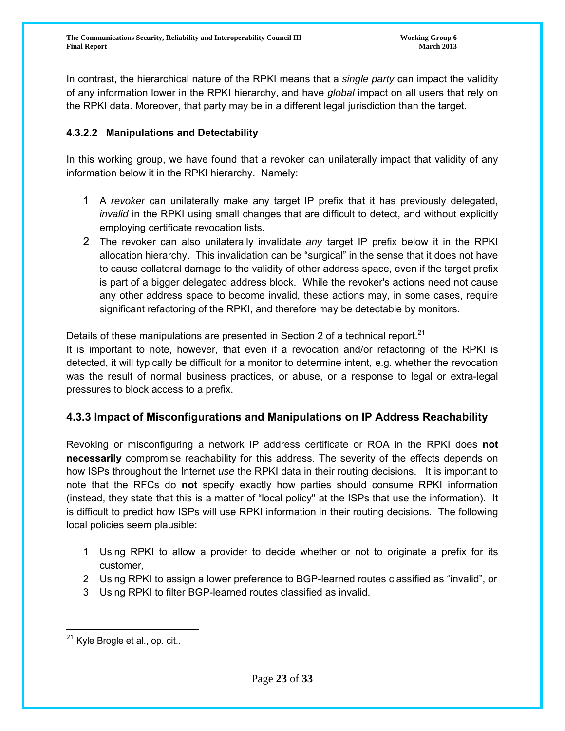In contrast, the hierarchical nature of the RPKI means that a *single party* can impact the validity of any information lower in the RPKI hierarchy, and have *global* impact on all users that rely on the RPKI data. Moreover, that party may be in a different legal jurisdiction than the target.

## **4.3.2.2 Manipulations and Detectability**

In this working group, we have found that a revoker can unilaterally impact that validity of any information below it in the RPKI hierarchy. Namely:

- 1 A *revoker* can unilaterally make any target IP prefix that it has previously delegated, *invalid* in the RPKI using small changes that are difficult to detect, and without explicitly employing certificate revocation lists.
- 2 The revoker can also unilaterally invalidate *any* target IP prefix below it in the RPKI allocation hierarchy. This invalidation can be "surgical" in the sense that it does not have to cause collateral damage to the validity of other address space, even if the target prefix is part of a bigger delegated address block. While the revoker's actions need not cause any other address space to become invalid, these actions may, in some cases, require significant refactoring of the RPKI, and therefore may be detectable by monitors.

Details of these manipulations are presented in Section 2 of a technical report.<sup>21</sup>

It is important to note, however, that even if a revocation and/or refactoring of the RPKI is detected, it will typically be difficult for a monitor to determine intent, e.g. whether the revocation was the result of normal business practices, or abuse, or a response to legal or extra-legal pressures to block access to a prefix.

# **4.3.3 Impact of Misconfigurations and Manipulations on IP Address Reachability**

Revoking or misconfiguring a network IP address certificate or ROA in the RPKI does **not necessarily** compromise reachability for this address. The severity of the effects depends on how ISPs throughout the Internet *use* the RPKI data in their routing decisions. It is important to note that the RFCs do **not** specify exactly how parties should consume RPKI information (instead, they state that this is a matter of "local policy'' at the ISPs that use the information). It is difficult to predict how ISPs will use RPKI information in their routing decisions. The following local policies seem plausible:

- 1 Using RPKI to allow a provider to decide whether or not to originate a prefix for its customer,
- 2 Using RPKI to assign a lower preference to BGP-learned routes classified as "invalid", or
- 3 Using RPKI to filter BGP-learned routes classified as invalid.

<sup>&</sup>lt;sup>21</sup> Kyle Brogle et al., op. cit..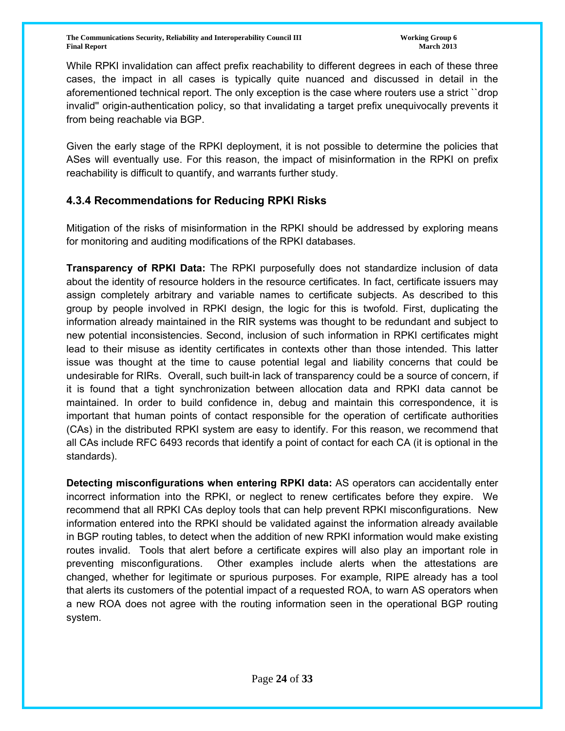While RPKI invalidation can affect prefix reachability to different degrees in each of these three cases, the impact in all cases is typically quite nuanced and discussed in detail in the aforementioned technical report. The only exception is the case where routers use a strict ``drop invalid'' origin-authentication policy, so that invalidating a target prefix unequivocally prevents it from being reachable via BGP.

Given the early stage of the RPKI deployment, it is not possible to determine the policies that ASes will eventually use. For this reason, the impact of misinformation in the RPKI on prefix reachability is difficult to quantify, and warrants further study.

# **4.3.4 Recommendations for Reducing RPKI Risks**

Mitigation of the risks of misinformation in the RPKI should be addressed by exploring means for monitoring and auditing modifications of the RPKI databases.

**Transparency of RPKI Data:** The RPKI purposefully does not standardize inclusion of data about the identity of resource holders in the resource certificates. In fact, certificate issuers may assign completely arbitrary and variable names to certificate subjects. As described to this group by people involved in RPKI design, the logic for this is twofold. First, duplicating the information already maintained in the RIR systems was thought to be redundant and subject to new potential inconsistencies. Second, inclusion of such information in RPKI certificates might lead to their misuse as identity certificates in contexts other than those intended. This latter issue was thought at the time to cause potential legal and liability concerns that could be undesirable for RIRs. Overall, such built-in lack of transparency could be a source of concern, if it is found that a tight synchronization between allocation data and RPKI data cannot be maintained. In order to build confidence in, debug and maintain this correspondence, it is important that human points of contact responsible for the operation of certificate authorities (CAs) in the distributed RPKI system are easy to identify. For this reason, we recommend that all CAs include RFC 6493 records that identify a point of contact for each CA (it is optional in the standards).

**Detecting misconfigurations when entering RPKI data:** AS operators can accidentally enter incorrect information into the RPKI, or neglect to renew certificates before they expire. We recommend that all RPKI CAs deploy tools that can help prevent RPKI misconfigurations. New information entered into the RPKI should be validated against the information already available in BGP routing tables, to detect when the addition of new RPKI information would make existing routes invalid. Tools that alert before a certificate expires will also play an important role in preventing misconfigurations. Other examples include alerts when the attestations are changed, whether for legitimate or spurious purposes. For example, RIPE already has a tool that alerts its customers of the potential impact of a requested ROA, to warn AS operators when a new ROA does not agree with the routing information seen in the operational BGP routing system.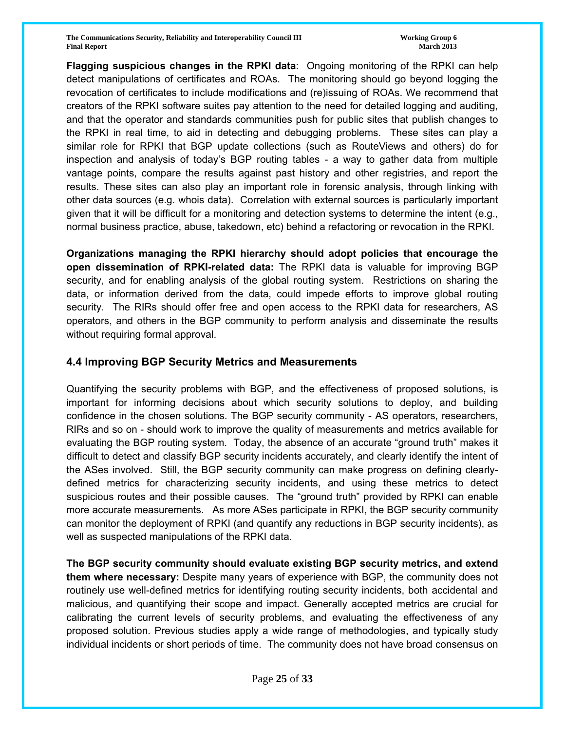**The Communications Security, Reliability and Interoperability Council III The Communications of Group 6 and Security, Reliability and Interoperability Council III Final Report March 2013**

**Flagging suspicious changes in the RPKI data**: Ongoing monitoring of the RPKI can help detect manipulations of certificates and ROAs. The monitoring should go beyond logging the revocation of certificates to include modifications and (re)issuing of ROAs. We recommend that creators of the RPKI software suites pay attention to the need for detailed logging and auditing, and that the operator and standards communities push for public sites that publish changes to the RPKI in real time, to aid in detecting and debugging problems. These sites can play a similar role for RPKI that BGP update collections (such as RouteViews and others) do for inspection and analysis of today's BGP routing tables - a way to gather data from multiple vantage points, compare the results against past history and other registries, and report the results. These sites can also play an important role in forensic analysis, through linking with other data sources (e.g. whois data). Correlation with external sources is particularly important given that it will be difficult for a monitoring and detection systems to determine the intent (e.g., normal business practice, abuse, takedown, etc) behind a refactoring or revocation in the RPKI.

**Organizations managing the RPKI hierarchy should adopt policies that encourage the open dissemination of RPKI-related data:** The RPKI data is valuable for improving BGP security, and for enabling analysis of the global routing system. Restrictions on sharing the data, or information derived from the data, could impede efforts to improve global routing security. The RIRs should offer free and open access to the RPKI data for researchers, AS operators, and others in the BGP community to perform analysis and disseminate the results without requiring formal approval.

# **4.4 Improving BGP Security Metrics and Measurements**

Quantifying the security problems with BGP, and the effectiveness of proposed solutions, is important for informing decisions about which security solutions to deploy, and building confidence in the chosen solutions. The BGP security community - AS operators, researchers, RIRs and so on - should work to improve the quality of measurements and metrics available for evaluating the BGP routing system. Today, the absence of an accurate "ground truth" makes it difficult to detect and classify BGP security incidents accurately, and clearly identify the intent of the ASes involved. Still, the BGP security community can make progress on defining clearlydefined metrics for characterizing security incidents, and using these metrics to detect suspicious routes and their possible causes. The "ground truth" provided by RPKI can enable more accurate measurements. As more ASes participate in RPKI, the BGP security community can monitor the deployment of RPKI (and quantify any reductions in BGP security incidents), as well as suspected manipulations of the RPKI data.

**The BGP security community should evaluate existing BGP security metrics, and extend them where necessary:** Despite many years of experience with BGP, the community does not routinely use well-defined metrics for identifying routing security incidents, both accidental and malicious, and quantifying their scope and impact. Generally accepted metrics are crucial for calibrating the current levels of security problems, and evaluating the effectiveness of any proposed solution. Previous studies apply a wide range of methodologies, and typically study individual incidents or short periods of time. The community does not have broad consensus on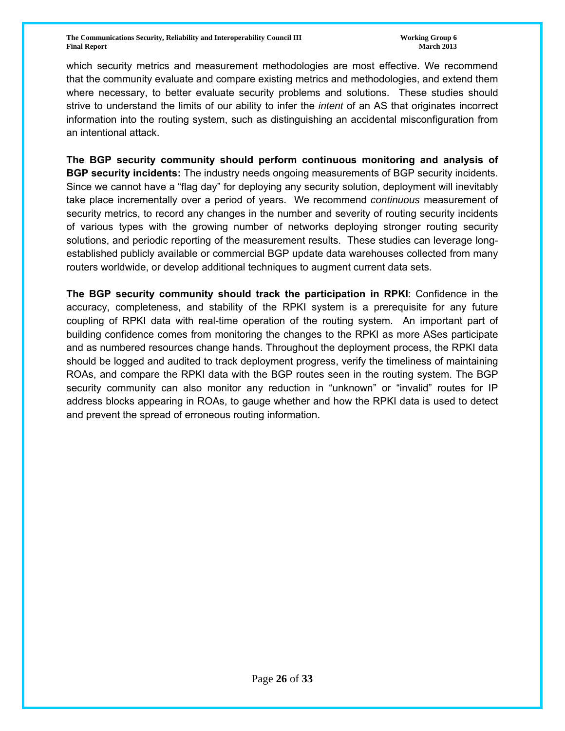which security metrics and measurement methodologies are most effective. We recommend that the community evaluate and compare existing metrics and methodologies, and extend them where necessary, to better evaluate security problems and solutions. These studies should strive to understand the limits of our ability to infer the *intent* of an AS that originates incorrect information into the routing system, such as distinguishing an accidental misconfiguration from an intentional attack.

**The BGP security community should perform continuous monitoring and analysis of BGP security incidents:** The industry needs ongoing measurements of BGP security incidents. Since we cannot have a "flag day" for deploying any security solution, deployment will inevitably take place incrementally over a period of years. We recommend *continuous* measurement of security metrics, to record any changes in the number and severity of routing security incidents of various types with the growing number of networks deploying stronger routing security solutions, and periodic reporting of the measurement results. These studies can leverage longestablished publicly available or commercial BGP update data warehouses collected from many routers worldwide, or develop additional techniques to augment current data sets.

**The BGP security community should track the participation in RPKI**: Confidence in the accuracy, completeness, and stability of the RPKI system is a prerequisite for any future coupling of RPKI data with real-time operation of the routing system. An important part of building confidence comes from monitoring the changes to the RPKI as more ASes participate and as numbered resources change hands. Throughout the deployment process, the RPKI data should be logged and audited to track deployment progress, verify the timeliness of maintaining ROAs, and compare the RPKI data with the BGP routes seen in the routing system. The BGP security community can also monitor any reduction in "unknown" or "invalid" routes for IP address blocks appearing in ROAs, to gauge whether and how the RPKI data is used to detect and prevent the spread of erroneous routing information.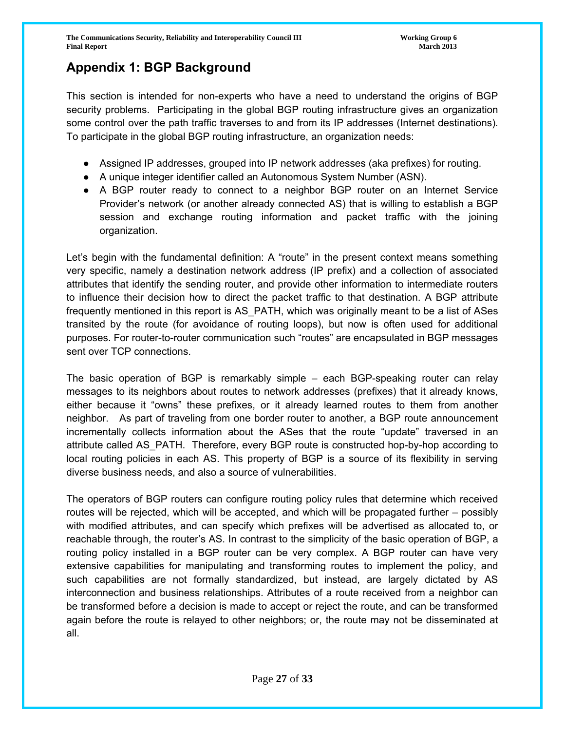# **Appendix 1: BGP Background**

This section is intended for non-experts who have a need to understand the origins of BGP security problems. Participating in the global BGP routing infrastructure gives an organization some control over the path traffic traverses to and from its IP addresses (Internet destinations). To participate in the global BGP routing infrastructure, an organization needs:

- Assigned IP addresses, grouped into IP network addresses (aka prefixes) for routing.
- A unique integer identifier called an Autonomous System Number (ASN).
- A BGP router ready to connect to a neighbor BGP router on an Internet Service Provider's network (or another already connected AS) that is willing to establish a BGP session and exchange routing information and packet traffic with the joining organization.

Let's begin with the fundamental definition: A "route" in the present context means something very specific, namely a destination network address (IP prefix) and a collection of associated attributes that identify the sending router, and provide other information to intermediate routers to influence their decision how to direct the packet traffic to that destination. A BGP attribute frequently mentioned in this report is AS\_PATH, which was originally meant to be a list of ASes transited by the route (for avoidance of routing loops), but now is often used for additional purposes. For router-to-router communication such "routes" are encapsulated in BGP messages sent over TCP connections.

The basic operation of BGP is remarkably simple – each BGP-speaking router can relay messages to its neighbors about routes to network addresses (prefixes) that it already knows, either because it "owns" these prefixes, or it already learned routes to them from another neighbor. As part of traveling from one border router to another, a BGP route announcement incrementally collects information about the ASes that the route "update" traversed in an attribute called AS\_PATH. Therefore, every BGP route is constructed hop-by-hop according to local routing policies in each AS. This property of BGP is a source of its flexibility in serving diverse business needs, and also a source of vulnerabilities.

The operators of BGP routers can configure routing policy rules that determine which received routes will be rejected, which will be accepted, and which will be propagated further – possibly with modified attributes, and can specify which prefixes will be advertised as allocated to, or reachable through, the router's AS. In contrast to the simplicity of the basic operation of BGP, a routing policy installed in a BGP router can be very complex. A BGP router can have very extensive capabilities for manipulating and transforming routes to implement the policy, and such capabilities are not formally standardized, but instead, are largely dictated by AS interconnection and business relationships. Attributes of a route received from a neighbor can be transformed before a decision is made to accept or reject the route, and can be transformed again before the route is relayed to other neighbors; or, the route may not be disseminated at all.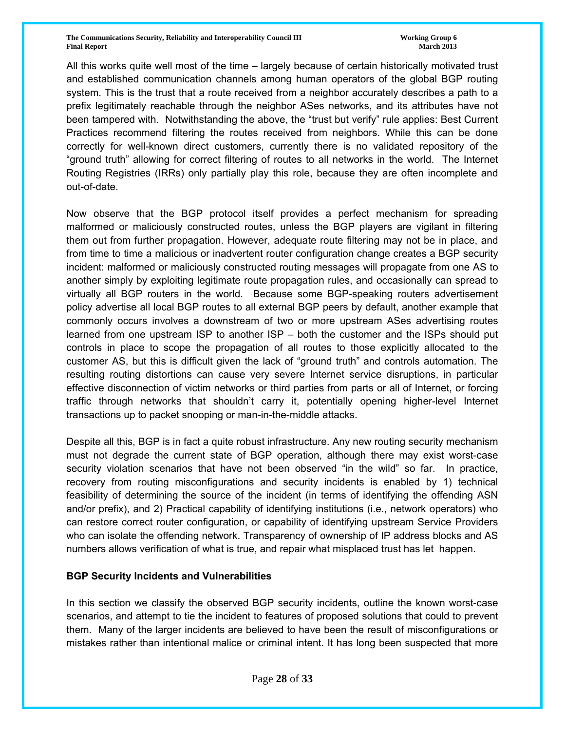All this works quite well most of the time – largely because of certain historically motivated trust and established communication channels among human operators of the global BGP routing system. This is the trust that a route received from a neighbor accurately describes a path to a prefix legitimately reachable through the neighbor ASes networks, and its attributes have not been tampered with. Notwithstanding the above, the "trust but verify" rule applies: Best Current Practices recommend filtering the routes received from neighbors. While this can be done correctly for well-known direct customers, currently there is no validated repository of the "ground truth" allowing for correct filtering of routes to all networks in the world. The Internet Routing Registries (IRRs) only partially play this role, because they are often incomplete and out-of-date.

Now observe that the BGP protocol itself provides a perfect mechanism for spreading malformed or maliciously constructed routes, unless the BGP players are vigilant in filtering them out from further propagation. However, adequate route filtering may not be in place, and from time to time a malicious or inadvertent router configuration change creates a BGP security incident: malformed or maliciously constructed routing messages will propagate from one AS to another simply by exploiting legitimate route propagation rules, and occasionally can spread to virtually all BGP routers in the world. Because some BGP-speaking routers advertisement policy advertise all local BGP routes to all external BGP peers by default, another example that commonly occurs involves a downstream of two or more upstream ASes advertising routes learned from one upstream ISP to another ISP – both the customer and the ISPs should put controls in place to scope the propagation of all routes to those explicitly allocated to the customer AS, but this is difficult given the lack of "ground truth" and controls automation. The resulting routing distortions can cause very severe Internet service disruptions, in particular effective disconnection of victim networks or third parties from parts or all of Internet, or forcing traffic through networks that shouldn't carry it, potentially opening higher-level Internet transactions up to packet snooping or man-in-the-middle attacks.

Despite all this, BGP is in fact a quite robust infrastructure. Any new routing security mechanism must not degrade the current state of BGP operation, although there may exist worst-case security violation scenarios that have not been observed "in the wild" so far. In practice, recovery from routing misconfigurations and security incidents is enabled by 1) technical feasibility of determining the source of the incident (in terms of identifying the offending ASN and/or prefix), and 2) Practical capability of identifying institutions (i.e., network operators) who can restore correct router configuration, or capability of identifying upstream Service Providers who can isolate the offending network. Transparency of ownership of IP address blocks and AS numbers allows verification of what is true, and repair what misplaced trust has let happen.

#### **BGP Security Incidents and Vulnerabilities**

In this section we classify the observed BGP security incidents, outline the known worst-case scenarios, and attempt to tie the incident to features of proposed solutions that could to prevent them. Many of the larger incidents are believed to have been the result of misconfigurations or mistakes rather than intentional malice or criminal intent. It has long been suspected that more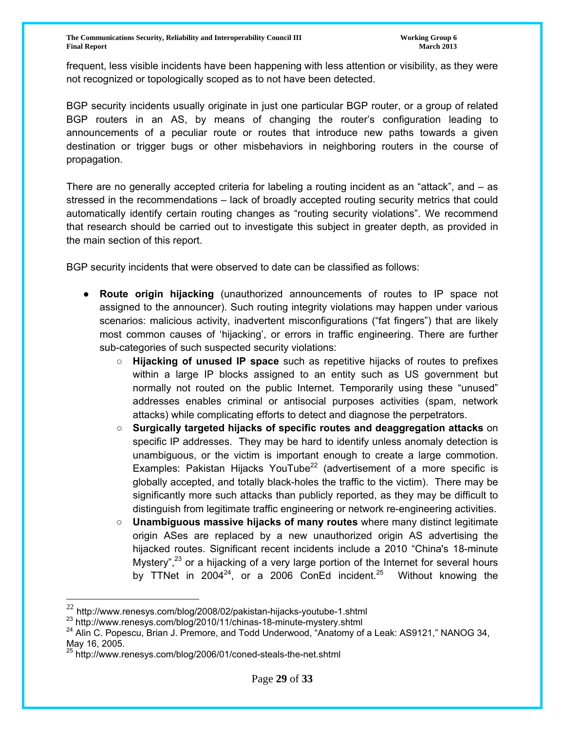frequent, less visible incidents have been happening with less attention or visibility, as they were not recognized or topologically scoped as to not have been detected.

BGP security incidents usually originate in just one particular BGP router, or a group of related BGP routers in an AS, by means of changing the router's configuration leading to announcements of a peculiar route or routes that introduce new paths towards a given destination or trigger bugs or other misbehaviors in neighboring routers in the course of propagation.

There are no generally accepted criteria for labeling a routing incident as an "attack", and – as stressed in the recommendations – lack of broadly accepted routing security metrics that could automatically identify certain routing changes as "routing security violations". We recommend that research should be carried out to investigate this subject in greater depth, as provided in the main section of this report.

BGP security incidents that were observed to date can be classified as follows:

- **Route origin hijacking** (unauthorized announcements of routes to IP space not assigned to the announcer). Such routing integrity violations may happen under various scenarios: malicious activity, inadvertent misconfigurations ("fat fingers") that are likely most common causes of 'hijacking', or errors in traffic engineering. There are further sub-categories of such suspected security violations:
	- **Hijacking of unused IP space** such as repetitive hijacks of routes to prefixes within a large IP blocks assigned to an entity such as US government but normally not routed on the public Internet. Temporarily using these "unused" addresses enables criminal or antisocial purposes activities (spam, network attacks) while complicating efforts to detect and diagnose the perpetrators.
	- **Surgically targeted hijacks of specific routes and deaggregation attacks** on specific IP addresses. They may be hard to identify unless anomaly detection is unambiguous, or the victim is important enough to create a large commotion. Examples: Pakistan Hijacks YouTube<sup>22</sup> (advertisement of a more specific is globally accepted, and totally black-holes the traffic to the victim). There may be significantly more such attacks than publicly reported, as they may be difficult to distinguish from legitimate traffic engineering or network re-engineering activities.
	- **Unambiguous massive hijacks of many routes** where many distinct legitimate origin ASes are replaced by a new unauthorized origin AS advertising the hijacked routes. Significant recent incidents include a 2010 "China's 18-minute Mystery",  $23$  or a hijacking of a very large portion of the Internet for several hours by TTNet in 2004<sup>24</sup>, or a 2006 ConEd incident.<sup>25</sup> Without knowing the

 $^{22}$  http://www.renesys.com/blog/2008/02/pakistan-hijacks-youtube-1.shtml<br> $^{23}$  http://www.renesys.com/blog/2010/11/chinas-18-minute-mystery.shtml

<sup>&</sup>lt;sup>24</sup> Alin C. Popescu, Brian J. Premore, and Todd Underwood, "Anatomy of a Leak: AS9121," NANOG 34, May 16, 2005.

<sup>&</sup>lt;sup>25</sup> http://www.renesys.com/blog/2006/01/coned-steals-the-net.shtml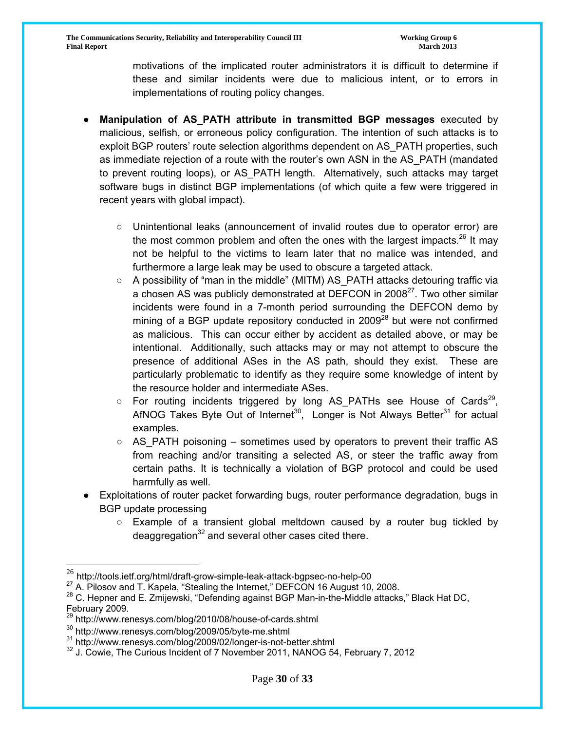motivations of the implicated router administrators it is difficult to determine if these and similar incidents were due to malicious intent, or to errors in implementations of routing policy changes.

- **Manipulation of AS\_PATH attribute in transmitted BGP messages** executed by malicious, selfish, or erroneous policy configuration. The intention of such attacks is to exploit BGP routers' route selection algorithms dependent on AS\_PATH properties, such as immediate rejection of a route with the router's own ASN in the AS\_PATH (mandated to prevent routing loops), or AS\_PATH length. Alternatively, such attacks may target software bugs in distinct BGP implementations (of which quite a few were triggered in recent years with global impact).
	- Unintentional leaks (announcement of invalid routes due to operator error) are the most common problem and often the ones with the largest impacts.<sup>26</sup> It may not be helpful to the victims to learn later that no malice was intended, and furthermore a large leak may be used to obscure a targeted attack.
	- A possibility of "man in the middle" (MITM) AS PATH attacks detouring traffic via a chosen AS was publicly demonstrated at DEFCON in 2008<sup>27</sup>. Two other similar incidents were found in a 7-month period surrounding the DEFCON demo by mining of a BGP update repository conducted in  $2009^{28}$  but were not confirmed as malicious. This can occur either by accident as detailed above, or may be intentional. Additionally, such attacks may or may not attempt to obscure the presence of additional ASes in the AS path, should they exist. These are particularly problematic to identify as they require some knowledge of intent by the resource holder and intermediate ASes.
	- $\circ$  For routing incidents triggered by long AS\_PATHs see House of Cards<sup>29</sup>, AfNOG Takes Byte Out of Internet<sup>30</sup>, Longer is Not Always Better<sup>31</sup> for actual examples.
	- AS\_PATH poisoning sometimes used by operators to prevent their traffic AS from reaching and/or transiting a selected AS, or steer the traffic away from certain paths. It is technically a violation of BGP protocol and could be used harmfully as well.
- Exploitations of router packet forwarding bugs, router performance degradation, bugs in BGP update processing
	- Example of a transient global meltdown caused by a router bug tickled by deaggregation $32$  and several other cases cited there.

<sup>&</sup>lt;sup>26</sup> http://tools.ietf.org/html/draft-grow-simple-leak-attack-bgpsec-no-help-00<br><sup>27</sup> A. Pilosov and T. Kapela, "Stealing the Internet," DEFCON 16 August 10, 2008.

 $^{28}$  C. Hepner and E. Zmijewski, "Defending against BGP Man-in-the-Middle attacks," Black Hat DC, February 2009.

<sup>&</sup>lt;sup>29</sup> http://www.renesys.com/blog/2010/08/house-of-cards.shtml

<sup>&</sup>lt;sup>30</sup> http://www.renesys.com/blog/2009/05/byte-me.shtml<br><sup>31</sup> http://www.renesys.com/blog/2009/02/longer-is-not-better.shtml<br><sup>32</sup> J. Cowie, The Curious Incident of 7 November 2011, NANOG 54, February 7, 2012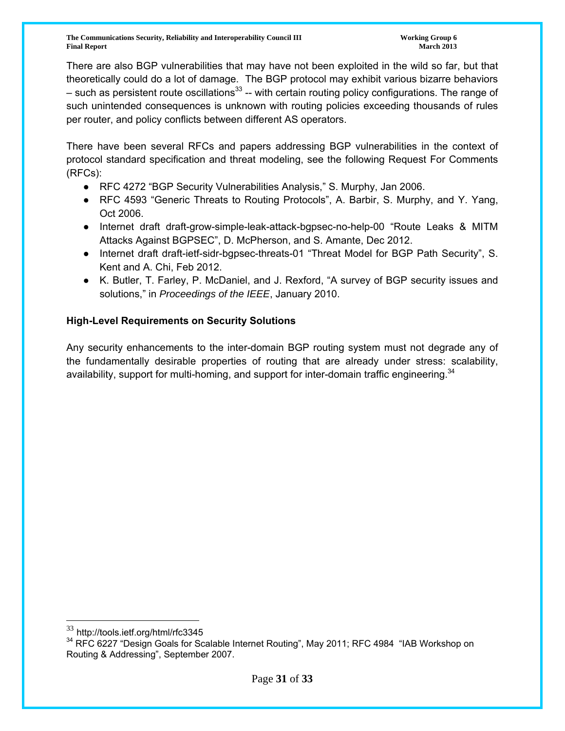**The Communications Security, Reliability and Interoperability Council III The Communications of Group 6 and Security, Reliability and Interoperability Council III Final Report March 2013**

There are also BGP vulnerabilities that may have not been exploited in the wild so far, but that theoretically could do a lot of damage. The BGP protocol may exhibit various bizarre behaviors – such as persistent route oscillations<sup>33</sup> -- with certain routing policy configurations. The range of such unintended consequences is unknown with routing policies exceeding thousands of rules per router, and policy conflicts between different AS operators.

There have been several RFCs and papers addressing BGP vulnerabilities in the context of protocol standard specification and threat modeling, see the following Request For Comments (RFCs):

- RFC 4272 "BGP Security Vulnerabilities Analysis," S. Murphy, Jan 2006.
- RFC 4593 "Generic Threats to Routing Protocols", A. Barbir, S. Murphy, and Y. Yang, Oct 2006.
- Internet draft draft-grow-simple-leak-attack-bgpsec-no-help-00 "Route Leaks & MITM Attacks Against BGPSEC", D. McPherson, and S. Amante, Dec 2012.
- Internet draft draft-ietf-sidr-bgpsec-threats-01 "Threat Model for BGP Path Security", S. Kent and A. Chi, Feb 2012.
- K. Butler, T. Farley, P. McDaniel, and J. Rexford, "A survey of BGP security issues and solutions," in *Proceedings of the IEEE*, January 2010.

## **High-Level Requirements on Security Solutions**

Any security enhancements to the inter-domain BGP routing system must not degrade any of the fundamentally desirable properties of routing that are already under stress: scalability, availability, support for multi-homing, and support for inter-domain traffic engineering.<sup>34</sup>

<sup>33</sup> http://tools.ietf.org/html/rfc3345

<sup>&</sup>lt;sup>34</sup> RFC 6227 "Design Goals for Scalable Internet Routing", May 2011; RFC 4984 "IAB Workshop on Routing & Addressing", September 2007.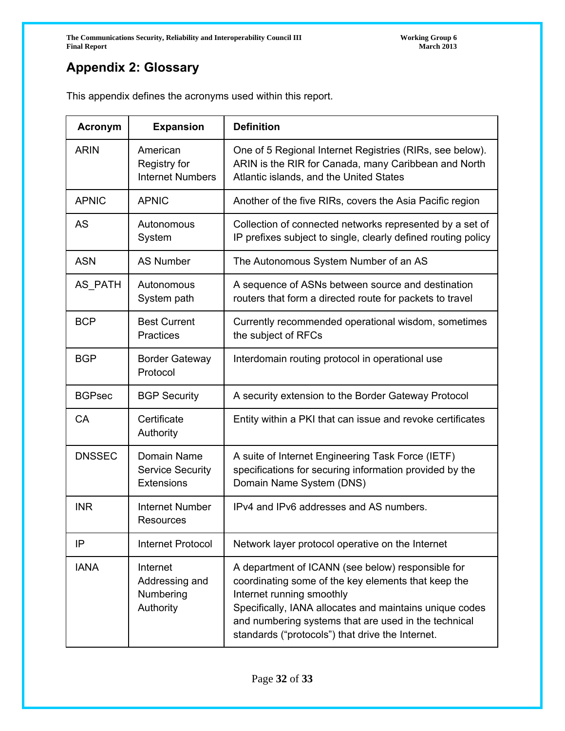# **Appendix 2: Glossary**

This appendix defines the acronyms used within this report.

| <b>Acronym</b> | <b>Expansion</b>                                     | <b>Definition</b>                                                                                                                                                                                                                                                                                            |
|----------------|------------------------------------------------------|--------------------------------------------------------------------------------------------------------------------------------------------------------------------------------------------------------------------------------------------------------------------------------------------------------------|
| <b>ARIN</b>    | American<br>Registry for<br><b>Internet Numbers</b>  | One of 5 Regional Internet Registries (RIRs, see below).<br>ARIN is the RIR for Canada, many Caribbean and North<br>Atlantic islands, and the United States                                                                                                                                                  |
| <b>APNIC</b>   | <b>APNIC</b>                                         | Another of the five RIRs, covers the Asia Pacific region                                                                                                                                                                                                                                                     |
| <b>AS</b>      | Autonomous<br>System                                 | Collection of connected networks represented by a set of<br>IP prefixes subject to single, clearly defined routing policy                                                                                                                                                                                    |
| <b>ASN</b>     | <b>AS Number</b>                                     | The Autonomous System Number of an AS                                                                                                                                                                                                                                                                        |
| AS_PATH        | Autonomous<br>System path                            | A sequence of ASNs between source and destination<br>routers that form a directed route for packets to travel                                                                                                                                                                                                |
| <b>BCP</b>     | <b>Best Current</b><br><b>Practices</b>              | Currently recommended operational wisdom, sometimes<br>the subject of RFCs                                                                                                                                                                                                                                   |
| <b>BGP</b>     | <b>Border Gateway</b><br>Protocol                    | Interdomain routing protocol in operational use                                                                                                                                                                                                                                                              |
| <b>BGPsec</b>  | <b>BGP Security</b>                                  | A security extension to the Border Gateway Protocol                                                                                                                                                                                                                                                          |
| <b>CA</b>      | Certificate<br>Authority                             | Entity within a PKI that can issue and revoke certificates                                                                                                                                                                                                                                                   |
| <b>DNSSEC</b>  | Domain Name<br><b>Service Security</b><br>Extensions | A suite of Internet Engineering Task Force (IETF)<br>specifications for securing information provided by the<br>Domain Name System (DNS)                                                                                                                                                                     |
| <b>INR</b>     | <b>Internet Number</b><br>Resources                  | IPv4 and IPv6 addresses and AS numbers.                                                                                                                                                                                                                                                                      |
| IP             | <b>Internet Protocol</b>                             | Network layer protocol operative on the Internet                                                                                                                                                                                                                                                             |
| <b>IANA</b>    | Internet<br>Addressing and<br>Numbering<br>Authority | A department of ICANN (see below) responsible for<br>coordinating some of the key elements that keep the<br>Internet running smoothly<br>Specifically, IANA allocates and maintains unique codes<br>and numbering systems that are used in the technical<br>standards ("protocols") that drive the Internet. |